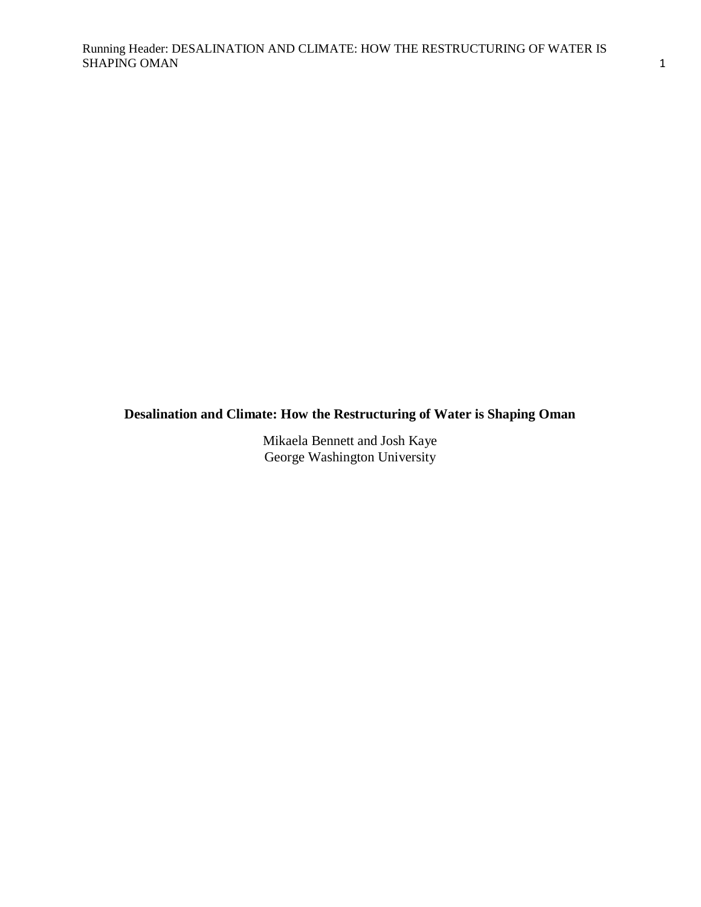# **Desalination and Climate: How the Restructuring of Water is Shaping Oman**

Mikaela Bennett and Josh Kaye George Washington University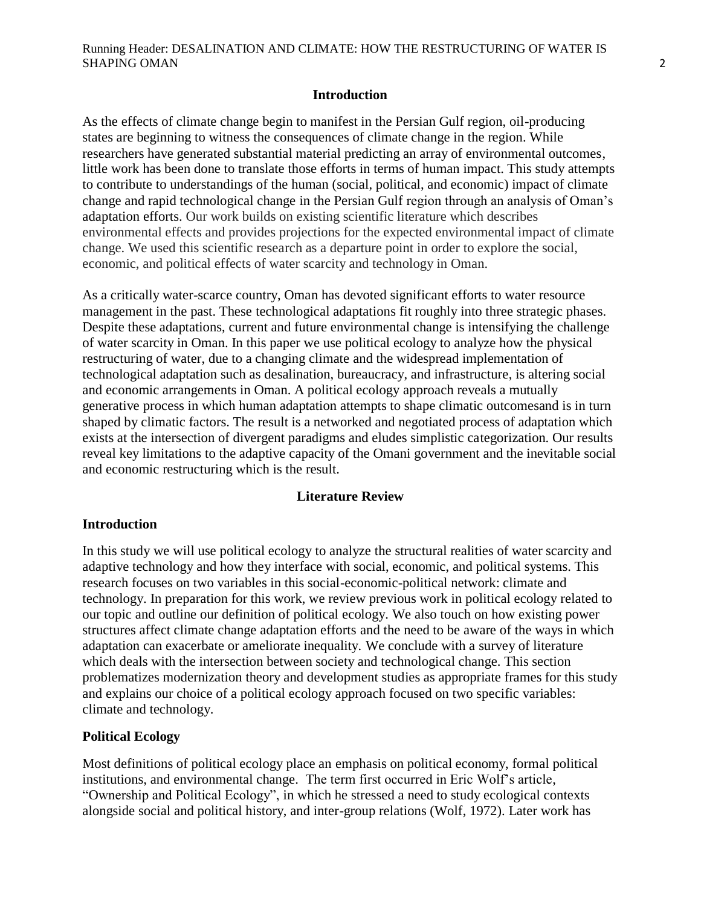#### **Introduction**

As the effects of climate change begin to manifest in the Persian Gulf region, oil-producing states are beginning to witness the consequences of climate change in the region. While researchers have generated substantial material predicting an array of environmental outcomes, little work has been done to translate those efforts in terms of human impact. This study attempts to contribute to understandings of the human (social, political, and economic) impact of climate change and rapid technological change in the Persian Gulf region through an analysis of Oman"s adaptation efforts. Our work builds on existing scientific literature which describes environmental effects and provides projections for the expected environmental impact of climate change. We used this scientific research as a departure point in order to explore the social, economic, and political effects of water scarcity and technology in Oman.

As a critically water-scarce country, Oman has devoted significant efforts to water resource management in the past. These technological adaptations fit roughly into three strategic phases. Despite these adaptations, current and future environmental change is intensifying the challenge of water scarcity in Oman. In this paper we use political ecology to analyze how the physical restructuring of water, due to a changing climate and the widespread implementation of technological adaptation such as desalination, bureaucracy, and infrastructure, is altering social and economic arrangements in Oman. A political ecology approach reveals a mutually generative process in which human adaptation attempts to shape climatic outcomesand is in turn shaped by climatic factors. The result is a networked and negotiated process of adaptation which exists at the intersection of divergent paradigms and eludes simplistic categorization. Our results reveal key limitations to the adaptive capacity of the Omani government and the inevitable social and economic restructuring which is the result.

#### **Literature Review**

#### **Introduction**

In this study we will use political ecology to analyze the structural realities of water scarcity and adaptive technology and how they interface with social, economic, and political systems. This research focuses on two variables in this social-economic-political network: climate and technology. In preparation for this work, we review previous work in political ecology related to our topic and outline our definition of political ecology. We also touch on how existing power structures affect climate change adaptation efforts and the need to be aware of the ways in which adaptation can exacerbate or ameliorate inequality. We conclude with a survey of literature which deals with the intersection between society and technological change. This section problematizes modernization theory and development studies as appropriate frames for this study and explains our choice of a political ecology approach focused on two specific variables: climate and technology.

#### **Political Ecology**

Most definitions of political ecology place an emphasis on political economy, formal political institutions, and environmental change. The term first occurred in Eric Wolf"s article, "Ownership and Political Ecology", in which he stressed a need to study ecological contexts alongside social and political history, and inter-group relations (Wolf, 1972). Later work has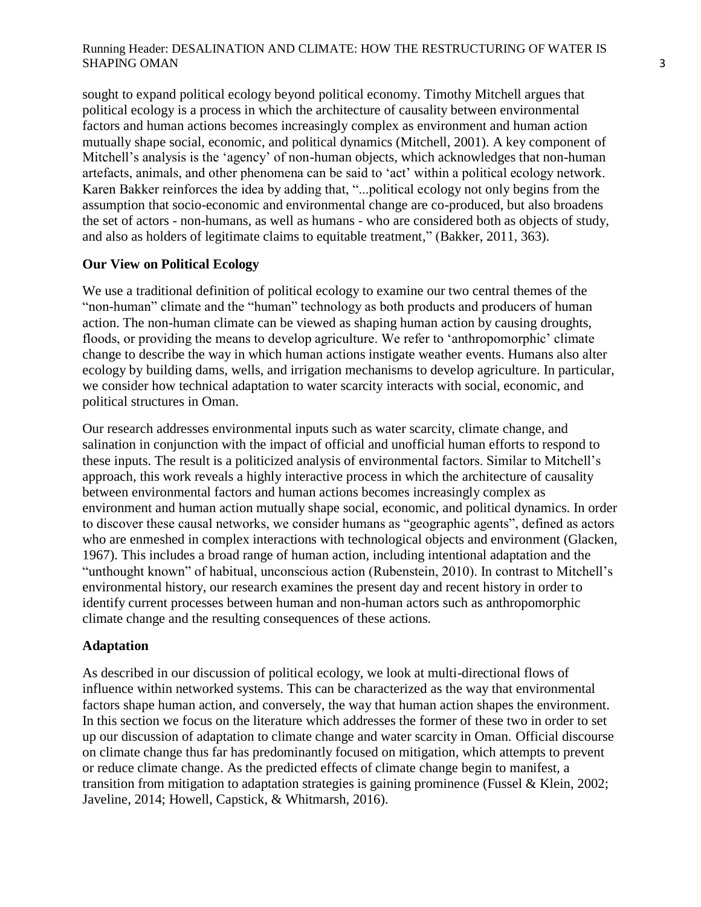sought to expand political ecology beyond political economy. Timothy Mitchell argues that political ecology is a process in which the architecture of causality between environmental factors and human actions becomes increasingly complex as environment and human action mutually shape social, economic, and political dynamics (Mitchell, 2001). A key component of Mitchell"s analysis is the "agency" of non-human objects, which acknowledges that non-human artefacts, animals, and other phenomena can be said to "act" within a political ecology network. Karen Bakker reinforces the idea by adding that, "...political ecology not only begins from the assumption that socio-economic and environmental change are co-produced, but also broadens the set of actors - non-humans, as well as humans - who are considered both as objects of study, and also as holders of legitimate claims to equitable treatment," (Bakker, 2011, 363).

# **Our View on Political Ecology**

We use a traditional definition of political ecology to examine our two central themes of the "non-human" climate and the "human" technology as both products and producers of human action. The non-human climate can be viewed as shaping human action by causing droughts, floods, or providing the means to develop agriculture. We refer to 'anthropomorphic' climate change to describe the way in which human actions instigate weather events. Humans also alter ecology by building dams, wells, and irrigation mechanisms to develop agriculture. In particular, we consider how technical adaptation to water scarcity interacts with social, economic, and political structures in Oman.

Our research addresses environmental inputs such as water scarcity, climate change, and salination in conjunction with the impact of official and unofficial human efforts to respond to these inputs. The result is a politicized analysis of environmental factors. Similar to Mitchell"s approach, this work reveals a highly interactive process in which the architecture of causality between environmental factors and human actions becomes increasingly complex as environment and human action mutually shape social, economic, and political dynamics. In order to discover these causal networks, we consider humans as "geographic agents", defined as actors who are enmeshed in complex interactions with technological objects and environment (Glacken, 1967). This includes a broad range of human action, including intentional adaptation and the "unthought known" of habitual, unconscious action (Rubenstein, 2010). In contrast to Mitchell"s environmental history, our research examines the present day and recent history in order to identify current processes between human and non-human actors such as anthropomorphic climate change and the resulting consequences of these actions.

# **Adaptation**

As described in our discussion of political ecology, we look at multi-directional flows of influence within networked systems. This can be characterized as the way that environmental factors shape human action, and conversely, the way that human action shapes the environment. In this section we focus on the literature which addresses the former of these two in order to set up our discussion of adaptation to climate change and water scarcity in Oman. Official discourse on climate change thus far has predominantly focused on mitigation, which attempts to prevent or reduce climate change. As the predicted effects of climate change begin to manifest, a transition from mitigation to adaptation strategies is gaining prominence (Fussel & Klein, 2002; Javeline, 2014; Howell, Capstick, & Whitmarsh, 2016).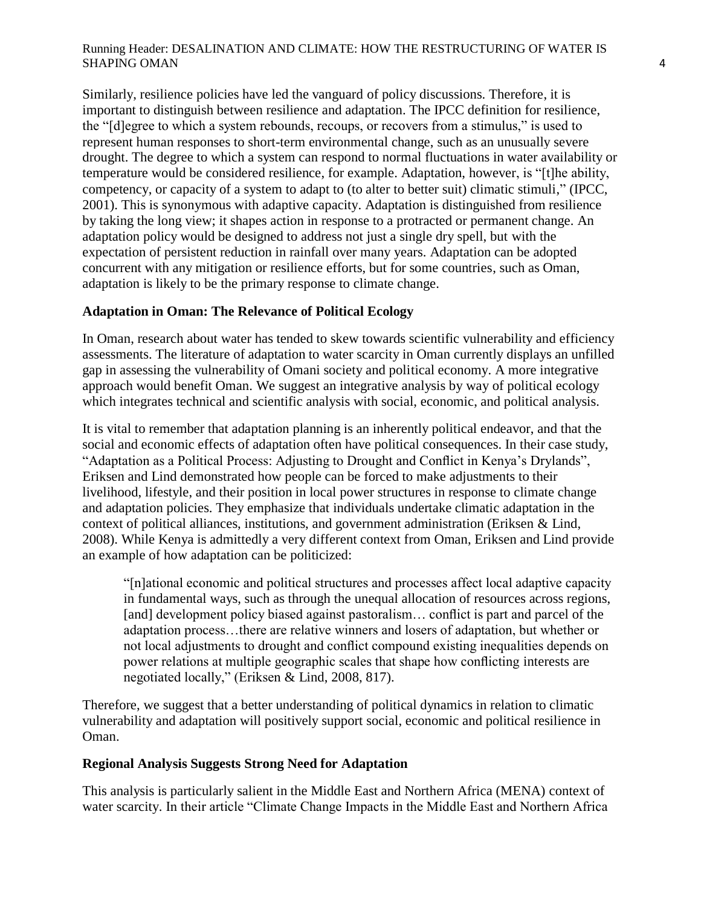Similarly, resilience policies have led the vanguard of policy discussions. Therefore, it is important to distinguish between resilience and adaptation. The IPCC definition for resilience, the "[d]egree to which a system rebounds, recoups, or recovers from a stimulus," is used to represent human responses to short-term environmental change, such as an unusually severe drought. The degree to which a system can respond to normal fluctuations in water availability or temperature would be considered resilience, for example. Adaptation, however, is "[t]he ability, competency, or capacity of a system to adapt to (to alter to better suit) climatic stimuli," (IPCC, 2001). This is synonymous with adaptive capacity. Adaptation is distinguished from resilience by taking the long view; it shapes action in response to a protracted or permanent change. An adaptation policy would be designed to address not just a single dry spell, but with the expectation of persistent reduction in rainfall over many years. Adaptation can be adopted concurrent with any mitigation or resilience efforts, but for some countries, such as Oman, adaptation is likely to be the primary response to climate change.

# **Adaptation in Oman: The Relevance of Political Ecology**

In Oman, research about water has tended to skew towards scientific vulnerability and efficiency assessments. The literature of adaptation to water scarcity in Oman currently displays an unfilled gap in assessing the vulnerability of Omani society and political economy. A more integrative approach would benefit Oman. We suggest an integrative analysis by way of political ecology which integrates technical and scientific analysis with social, economic, and political analysis.

It is vital to remember that adaptation planning is an inherently political endeavor, and that the social and economic effects of adaptation often have political consequences. In their case study, "Adaptation as a Political Process: Adjusting to Drought and Conflict in Kenya"s Drylands", Eriksen and Lind demonstrated how people can be forced to make adjustments to their livelihood, lifestyle, and their position in local power structures in response to climate change and adaptation policies. They emphasize that individuals undertake climatic adaptation in the context of political alliances, institutions, and government administration (Eriksen & Lind, 2008). While Kenya is admittedly a very different context from Oman, Eriksen and Lind provide an example of how adaptation can be politicized:

"[n]ational economic and political structures and processes affect local adaptive capacity in fundamental ways, such as through the unequal allocation of resources across regions, [and] development policy biased against pastoralism... conflict is part and parcel of the adaptation process…there are relative winners and losers of adaptation, but whether or not local adjustments to drought and conflict compound existing inequalities depends on power relations at multiple geographic scales that shape how conflicting interests are negotiated locally," (Eriksen & Lind, 2008, 817).

Therefore, we suggest that a better understanding of political dynamics in relation to climatic vulnerability and adaptation will positively support social, economic and political resilience in Oman.

#### **Regional Analysis Suggests Strong Need for Adaptation**

This analysis is particularly salient in the Middle East and Northern Africa (MENA) context of water scarcity. In their article "Climate Change Impacts in the Middle East and Northern Africa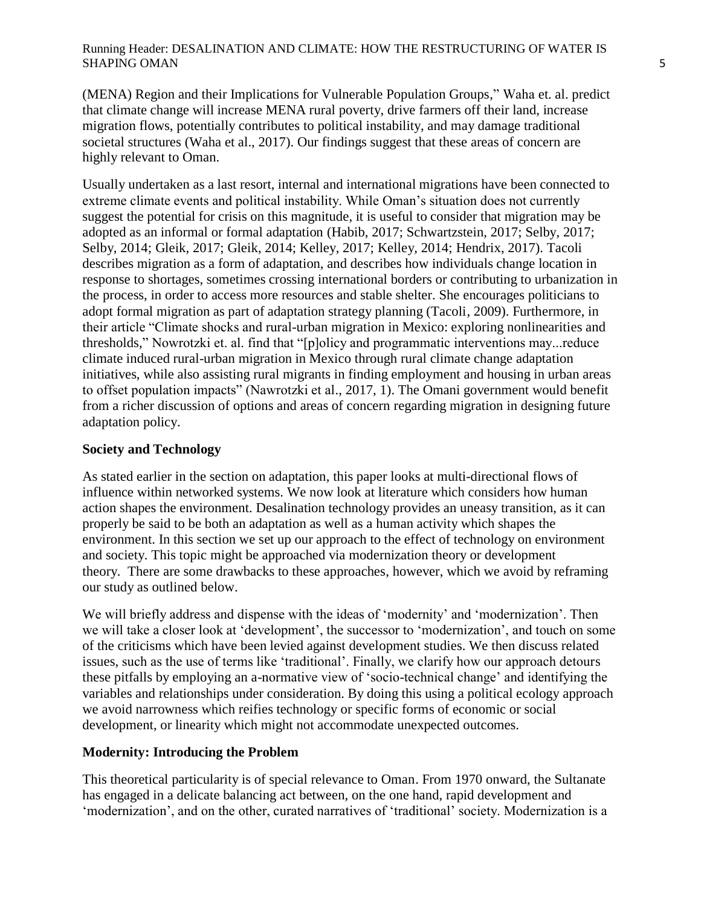(MENA) Region and their Implications for Vulnerable Population Groups," Waha et. al. predict that climate change will increase MENA rural poverty, drive farmers off their land, increase migration flows, potentially contributes to political instability, and may damage traditional societal structures (Waha et al., 2017). Our findings suggest that these areas of concern are highly relevant to Oman.

Usually undertaken as a last resort, internal and international migrations have been connected to extreme climate events and political instability. While Oman"s situation does not currently suggest the potential for crisis on this magnitude, it is useful to consider that migration may be adopted as an informal or formal adaptation (Habib, 2017; Schwartzstein, 2017; Selby, 2017; Selby, 2014; Gleik, 2017; Gleik, 2014; Kelley, 2017; Kelley, 2014; Hendrix, 2017). Tacoli describes migration as a form of adaptation, and describes how individuals change location in response to shortages, sometimes crossing international borders or contributing to urbanization in the process, in order to access more resources and stable shelter. She encourages politicians to adopt formal migration as part of adaptation strategy planning (Tacoli, 2009). Furthermore, in their article "Climate shocks and rural-urban migration in Mexico: exploring nonlinearities and thresholds," Nowrotzki et. al. find that "[p]olicy and programmatic interventions may...reduce climate induced rural-urban migration in Mexico through rural climate change adaptation initiatives, while also assisting rural migrants in finding employment and housing in urban areas to offset population impacts" (Nawrotzki et al., 2017, 1). The Omani government would benefit from a richer discussion of options and areas of concern regarding migration in designing future adaptation policy.

# **Society and Technology**

As stated earlier in the section on adaptation, this paper looks at multi-directional flows of influence within networked systems. We now look at literature which considers how human action shapes the environment. Desalination technology provides an uneasy transition, as it can properly be said to be both an adaptation as well as a human activity which shapes the environment. In this section we set up our approach to the effect of technology on environment and society. This topic might be approached via modernization theory or development theory. There are some drawbacks to these approaches, however, which we avoid by reframing our study as outlined below.

We will briefly address and dispense with the ideas of 'modernity' and 'modernization'. Then we will take a closer look at 'development', the successor to 'modernization', and touch on some of the criticisms which have been levied against development studies. We then discuss related issues, such as the use of terms like "traditional". Finally, we clarify how our approach detours these pitfalls by employing an a-normative view of "socio-technical change" and identifying the variables and relationships under consideration. By doing this using a political ecology approach we avoid narrowness which reifies technology or specific forms of economic or social development, or linearity which might not accommodate unexpected outcomes.

# **Modernity: Introducing the Problem**

This theoretical particularity is of special relevance to Oman. From 1970 onward, the Sultanate has engaged in a delicate balancing act between, on the one hand, rapid development and 'modernization', and on the other, curated narratives of 'traditional' society. Modernization is a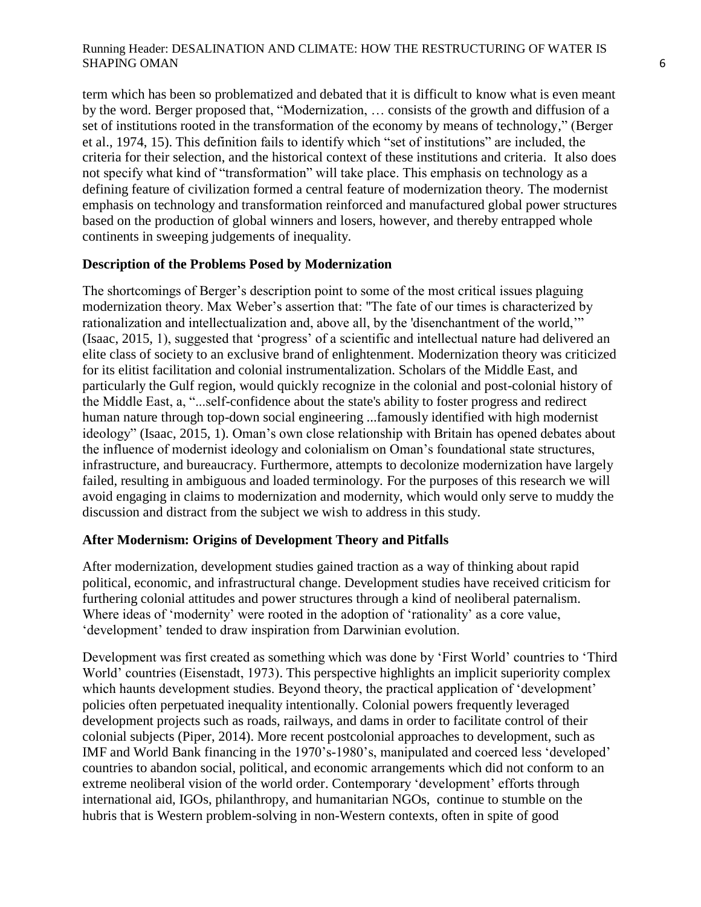term which has been so problematized and debated that it is difficult to know what is even meant by the word. Berger proposed that, "Modernization, … consists of the growth and diffusion of a set of institutions rooted in the transformation of the economy by means of technology," (Berger et al., 1974, 15). This definition fails to identify which "set of institutions" are included, the criteria for their selection, and the historical context of these institutions and criteria. It also does not specify what kind of "transformation" will take place. This emphasis on technology as a defining feature of civilization formed a central feature of modernization theory. The modernist emphasis on technology and transformation reinforced and manufactured global power structures based on the production of global winners and losers, however, and thereby entrapped whole continents in sweeping judgements of inequality.

# **Description of the Problems Posed by Modernization**

The shortcomings of Berger"s description point to some of the most critical issues plaguing modernization theory. Max Weber"s assertion that: "The fate of our times is characterized by rationalization and intellectualization and, above all, by the 'disenchantment of the world,"" (Isaac, 2015, 1), suggested that "progress" of a scientific and intellectual nature had delivered an elite class of society to an exclusive brand of enlightenment. Modernization theory was criticized for its elitist facilitation and colonial instrumentalization. Scholars of the Middle East, and particularly the Gulf region, would quickly recognize in the colonial and post-colonial history of the Middle East, a, "...self-confidence about the state's ability to foster progress and redirect human nature through top-down social engineering ...famously identified with high modernist ideology" (Isaac, 2015, 1). Oman's own close relationship with Britain has opened debates about the influence of modernist ideology and colonialism on Oman"s foundational state structures, infrastructure, and bureaucracy. Furthermore, attempts to decolonize modernization have largely failed, resulting in ambiguous and loaded terminology. For the purposes of this research we will avoid engaging in claims to modernization and modernity, which would only serve to muddy the discussion and distract from the subject we wish to address in this study.

# **After Modernism: Origins of Development Theory and Pitfalls**

After modernization, development studies gained traction as a way of thinking about rapid political, economic, and infrastructural change. Development studies have received criticism for furthering colonial attitudes and power structures through a kind of neoliberal paternalism. Where ideas of 'modernity' were rooted in the adoption of 'rationality' as a core value, 'development' tended to draw inspiration from Darwinian evolution.

Development was first created as something which was done by "First World" countries to "Third World" countries (Eisenstadt, 1973). This perspective highlights an implicit superiority complex which haunts development studies. Beyond theory, the practical application of 'development' policies often perpetuated inequality intentionally. Colonial powers frequently leveraged development projects such as roads, railways, and dams in order to facilitate control of their colonial subjects (Piper, 2014). More recent postcolonial approaches to development, such as IMF and World Bank financing in the 1970"s-1980"s, manipulated and coerced less "developed" countries to abandon social, political, and economic arrangements which did not conform to an extreme neoliberal vision of the world order. Contemporary 'development' efforts through international aid, IGOs, philanthropy, and humanitarian NGOs, continue to stumble on the hubris that is Western problem-solving in non-Western contexts, often in spite of good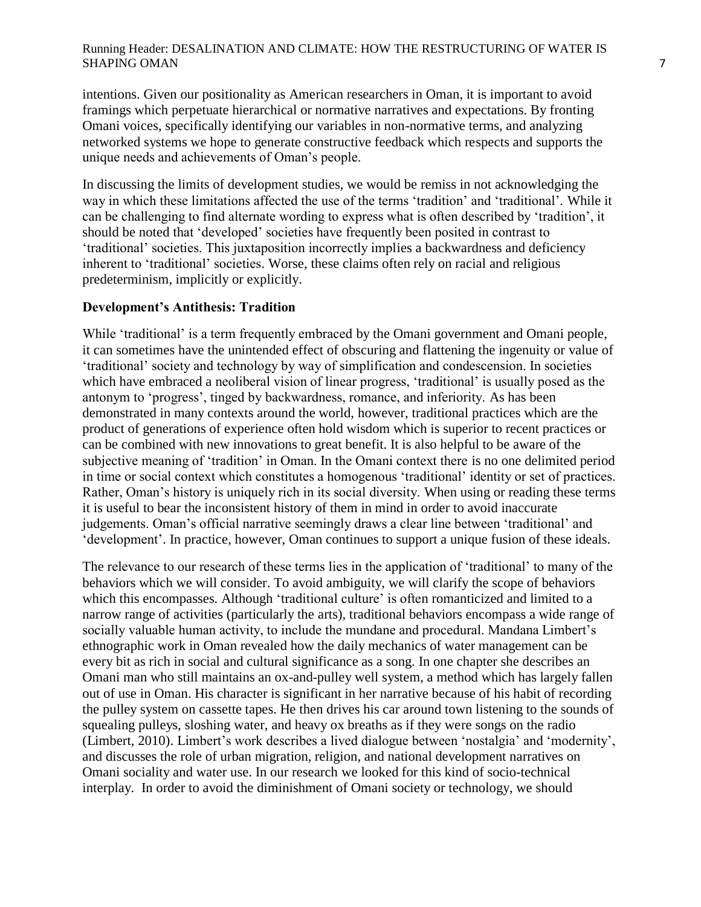intentions. Given our positionality as American researchers in Oman, it is important to avoid framings which perpetuate hierarchical or normative narratives and expectations. By fronting Omani voices, specifically identifying our variables in non-normative terms, and analyzing networked systems we hope to generate constructive feedback which respects and supports the unique needs and achievements of Oman"s people.

In discussing the limits of development studies, we would be remiss in not acknowledging the way in which these limitations affected the use of the terms 'tradition' and 'traditional'. While it can be challenging to find alternate wording to express what is often described by "tradition", it should be noted that "developed" societies have frequently been posited in contrast to "traditional" societies. This juxtaposition incorrectly implies a backwardness and deficiency inherent to 'traditional' societies. Worse, these claims often rely on racial and religious predeterminism, implicitly or explicitly.

#### **Development's Antithesis: Tradition**

While 'traditional' is a term frequently embraced by the Omani government and Omani people, it can sometimes have the unintended effect of obscuring and flattening the ingenuity or value of "traditional" society and technology by way of simplification and condescension. In societies which have embraced a neoliberal vision of linear progress, 'traditional' is usually posed as the antonym to "progress", tinged by backwardness, romance, and inferiority. As has been demonstrated in many contexts around the world, however, traditional practices which are the product of generations of experience often hold wisdom which is superior to recent practices or can be combined with new innovations to great benefit. It is also helpful to be aware of the subjective meaning of "tradition" in Oman. In the Omani context there is no one delimited period in time or social context which constitutes a homogenous "traditional" identity or set of practices. Rather, Oman's history is uniquely rich in its social diversity. When using or reading these terms it is useful to bear the inconsistent history of them in mind in order to avoid inaccurate judgements. Oman's official narrative seemingly draws a clear line between 'traditional' and "development". In practice, however, Oman continues to support a unique fusion of these ideals.

The relevance to our research of these terms lies in the application of "traditional" to many of the behaviors which we will consider. To avoid ambiguity, we will clarify the scope of behaviors which this encompasses. Although 'traditional culture' is often romanticized and limited to a narrow range of activities (particularly the arts), traditional behaviors encompass a wide range of socially valuable human activity, to include the mundane and procedural. Mandana Limbert's ethnographic work in Oman revealed how the daily mechanics of water management can be every bit as rich in social and cultural significance as a song. In one chapter she describes an Omani man who still maintains an ox-and-pulley well system, a method which has largely fallen out of use in Oman. His character is significant in her narrative because of his habit of recording the pulley system on cassette tapes. He then drives his car around town listening to the sounds of squealing pulleys, sloshing water, and heavy ox breaths as if they were songs on the radio (Limbert, 2010). Limbert"s work describes a lived dialogue between "nostalgia" and "modernity", and discusses the role of urban migration, religion, and national development narratives on Omani sociality and water use. In our research we looked for this kind of socio-technical interplay. In order to avoid the diminishment of Omani society or technology, we should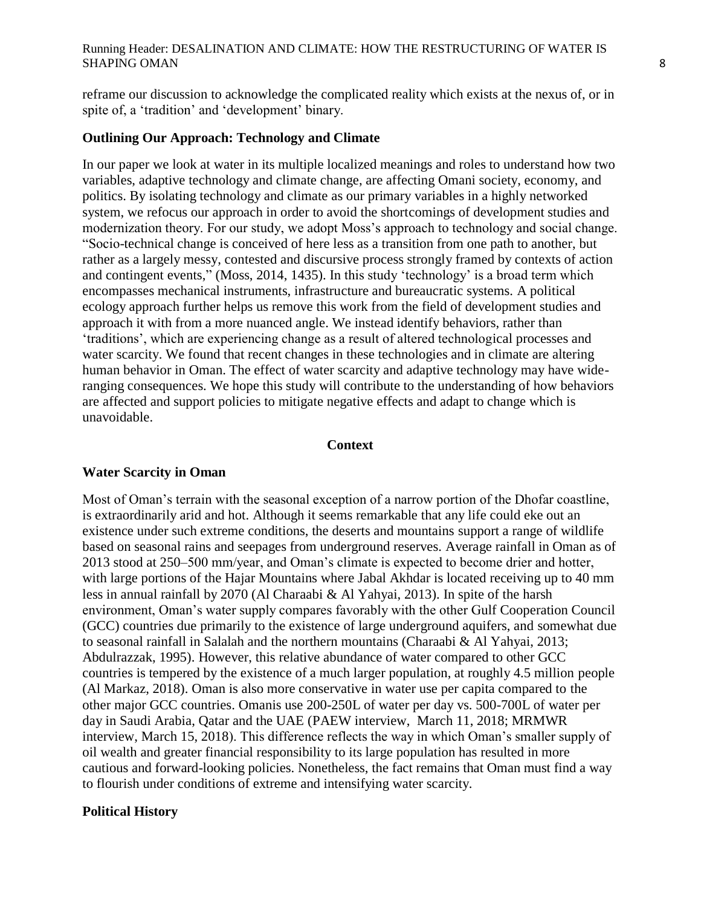reframe our discussion to acknowledge the complicated reality which exists at the nexus of, or in spite of, a 'tradition' and 'development' binary.

#### **Outlining Our Approach: Technology and Climate**

In our paper we look at water in its multiple localized meanings and roles to understand how two variables, adaptive technology and climate change, are affecting Omani society, economy, and politics. By isolating technology and climate as our primary variables in a highly networked system, we refocus our approach in order to avoid the shortcomings of development studies and modernization theory. For our study, we adopt Moss's approach to technology and social change. "Socio-technical change is conceived of here less as a transition from one path to another, but rather as a largely messy, contested and discursive process strongly framed by contexts of action and contingent events," (Moss, 2014, 1435). In this study "technology" is a broad term which encompasses mechanical instruments, infrastructure and bureaucratic systems. A political ecology approach further helps us remove this work from the field of development studies and approach it with from a more nuanced angle. We instead identify behaviors, rather than "traditions", which are experiencing change as a result of altered technological processes and water scarcity. We found that recent changes in these technologies and in climate are altering human behavior in Oman. The effect of water scarcity and adaptive technology may have wideranging consequences. We hope this study will contribute to the understanding of how behaviors are affected and support policies to mitigate negative effects and adapt to change which is unavoidable.

#### **Context**

#### **Water Scarcity in Oman**

Most of Oman"s terrain with the seasonal exception of a narrow portion of the Dhofar coastline, is extraordinarily arid and hot. Although it seems remarkable that any life could eke out an existence under such extreme conditions, the deserts and mountains support a range of wildlife based on seasonal rains and seepages from underground reserves. Average rainfall in Oman as of 2013 stood at 250–500 mm/year, and Oman"s climate is expected to become drier and hotter, with large portions of the Hajar Mountains where Jabal Akhdar is located receiving up to 40 mm less in annual rainfall by 2070 (Al Charaabi & Al Yahyai, 2013). In spite of the harsh environment, Oman"s water supply compares favorably with the other Gulf Cooperation Council (GCC) countries due primarily to the existence of large underground aquifers, and somewhat due to seasonal rainfall in Salalah and the northern mountains (Charaabi & Al Yahyai, 2013; Abdulrazzak, 1995). However, this relative abundance of water compared to other GCC countries is tempered by the existence of a much larger population, at roughly 4.5 million people (Al Markaz, 2018). Oman is also more conservative in water use per capita compared to the other major GCC countries. Omanis use 200-250L of water per day vs. 500-700L of water per day in Saudi Arabia, Qatar and the UAE (PAEW interview, March 11, 2018; MRMWR interview, March 15, 2018). This difference reflects the way in which Oman"s smaller supply of oil wealth and greater financial responsibility to its large population has resulted in more cautious and forward-looking policies. Nonetheless, the fact remains that Oman must find a way to flourish under conditions of extreme and intensifying water scarcity.

#### **Political History**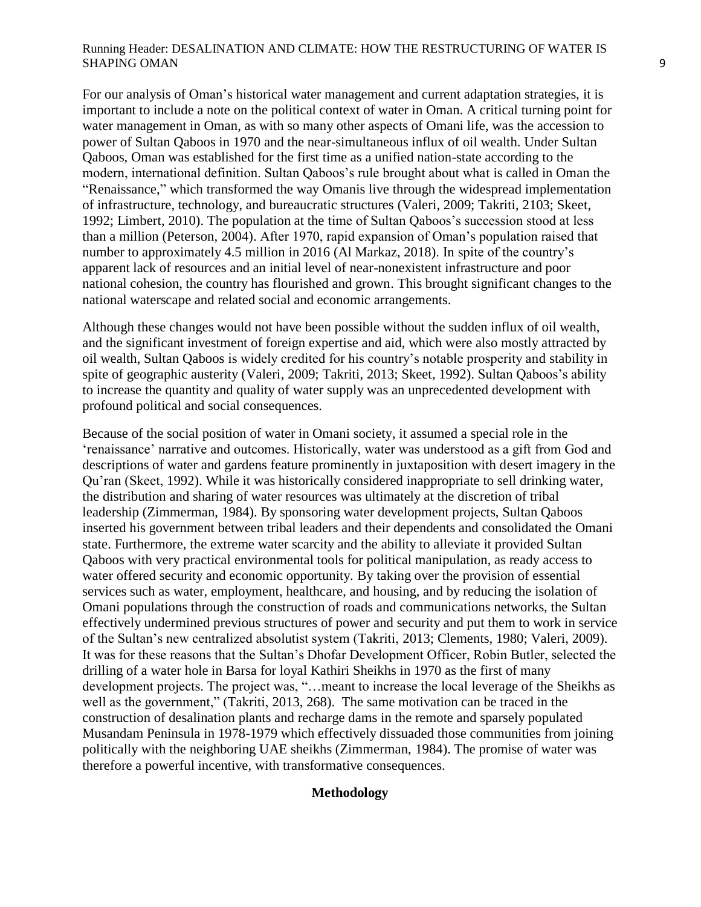For our analysis of Oman"s historical water management and current adaptation strategies, it is important to include a note on the political context of water in Oman. A critical turning point for water management in Oman, as with so many other aspects of Omani life, was the accession to power of Sultan Qaboos in 1970 and the near-simultaneous influx of oil wealth. Under Sultan Qaboos, Oman was established for the first time as a unified nation-state according to the modern, international definition. Sultan Qaboos's rule brought about what is called in Oman the "Renaissance," which transformed the way Omanis live through the widespread implementation of infrastructure, technology, and bureaucratic structures (Valeri, 2009; Takriti, 2103; Skeet, 1992; Limbert, 2010). The population at the time of Sultan Qaboos"s succession stood at less than a million (Peterson, 2004). After 1970, rapid expansion of Oman"s population raised that number to approximately 4.5 million in 2016 (Al Markaz, 2018). In spite of the country"s apparent lack of resources and an initial level of near-nonexistent infrastructure and poor national cohesion, the country has flourished and grown. This brought significant changes to the national waterscape and related social and economic arrangements.

Although these changes would not have been possible without the sudden influx of oil wealth, and the significant investment of foreign expertise and aid, which were also mostly attracted by oil wealth, Sultan Qaboos is widely credited for his country"s notable prosperity and stability in spite of geographic austerity (Valeri, 2009; Takriti, 2013; Skeet, 1992). Sultan Qaboos's ability to increase the quantity and quality of water supply was an unprecedented development with profound political and social consequences.

Because of the social position of water in Omani society, it assumed a special role in the 'renaissance' narrative and outcomes. Historically, water was understood as a gift from God and descriptions of water and gardens feature prominently in juxtaposition with desert imagery in the Qu"ran (Skeet, 1992). While it was historically considered inappropriate to sell drinking water, the distribution and sharing of water resources was ultimately at the discretion of tribal leadership (Zimmerman, 1984). By sponsoring water development projects, Sultan Qaboos inserted his government between tribal leaders and their dependents and consolidated the Omani state. Furthermore, the extreme water scarcity and the ability to alleviate it provided Sultan Qaboos with very practical environmental tools for political manipulation, as ready access to water offered security and economic opportunity. By taking over the provision of essential services such as water, employment, healthcare, and housing, and by reducing the isolation of Omani populations through the construction of roads and communications networks, the Sultan effectively undermined previous structures of power and security and put them to work in service of the Sultan"s new centralized absolutist system (Takriti, 2013; Clements, 1980; Valeri, 2009). It was for these reasons that the Sultan"s Dhofar Development Officer, Robin Butler, selected the drilling of a water hole in Barsa for loyal Kathiri Sheikhs in 1970 as the first of many development projects. The project was, "…meant to increase the local leverage of the Sheikhs as well as the government," (Takriti, 2013, 268). The same motivation can be traced in the construction of desalination plants and recharge dams in the remote and sparsely populated Musandam Peninsula in 1978-1979 which effectively dissuaded those communities from joining politically with the neighboring UAE sheikhs (Zimmerman, 1984). The promise of water was therefore a powerful incentive, with transformative consequences.

#### **Methodology**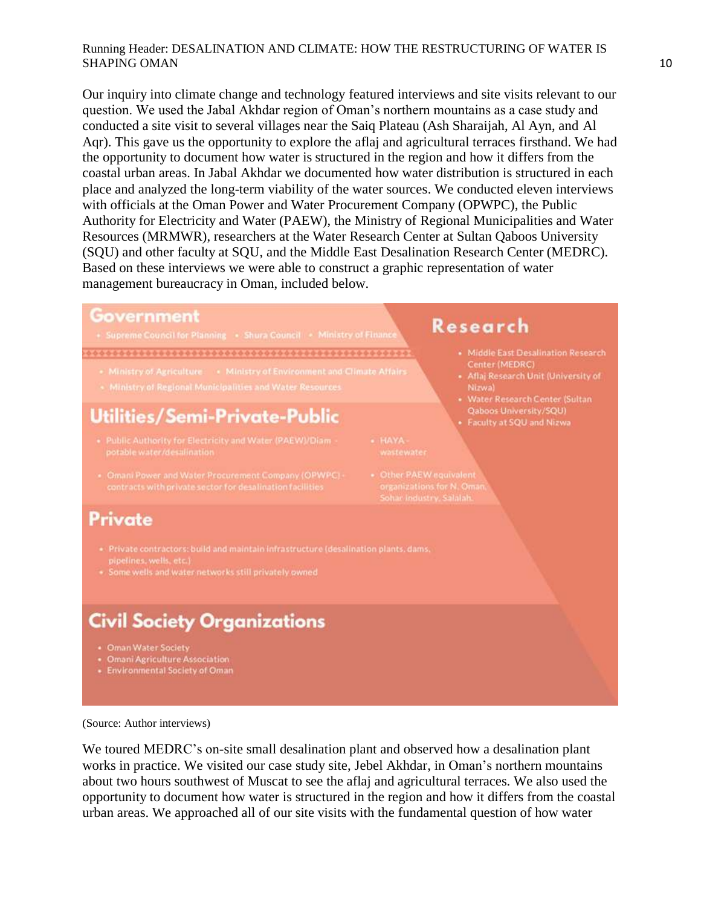Our inquiry into climate change and technology featured interviews and site visits relevant to our question. We used the Jabal Akhdar region of Oman"s northern mountains as a case study and conducted a site visit to several villages near the Saiq Plateau (Ash Sharaijah, Al Ayn, and Al Aqr). This gave us the opportunity to explore the aflaj and agricultural terraces firsthand. We had the opportunity to document how water is structured in the region and how it differs from the coastal urban areas. In Jabal Akhdar we documented how water distribution is structured in each place and analyzed the long-term viability of the water sources. We conducted eleven interviews with officials at the Oman Power and Water Procurement Company (OPWPC), the Public Authority for Electricity and Water (PAEW), the Ministry of Regional Municipalities and Water Resources (MRMWR), researchers at the Water Research Center at Sultan Qaboos University (SQU) and other faculty at SQU, and the Middle East Desalination Research Center (MEDRC). Based on these interviews we were able to construct a graphic representation of water management bureaucracy in Oman, included below.

#### Government

#### 

- 
- 

# Utilities/Semi-Private-Public

- 
- Omani Power and Water Procurement Company (OPWPC) -

# Research

- · Middle East Desalination Research Center (MEDRC)
- Aflaj Research Unit (University of
- Qaboos University/SQU)
- Faculty at SQU and Nizwa
- 
- 

# Private

- pipelines, wells, etc.)
- 

# **Civil Society Organizations**

- 
- 
- Omani Agriculture Association<br>- Environmental Society of Oman

(Source: Author interviews)

We toured MEDRC's on-site small desalination plant and observed how a desalination plant works in practice. We visited our case study site, Jebel Akhdar, in Oman"s northern mountains about two hours southwest of Muscat to see the aflaj and agricultural terraces. We also used the opportunity to document how water is structured in the region and how it differs from the coastal urban areas. We approached all of our site visits with the fundamental question of how water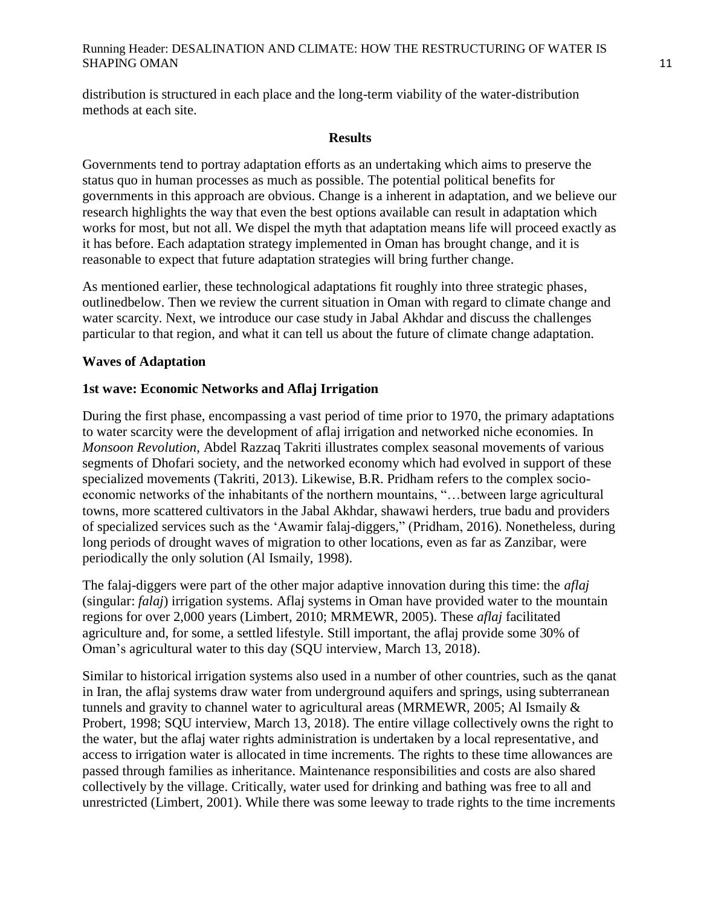distribution is structured in each place and the long-term viability of the water-distribution methods at each site.

#### **Results**

Governments tend to portray adaptation efforts as an undertaking which aims to preserve the status quo in human processes as much as possible. The potential political benefits for governments in this approach are obvious. Change is a inherent in adaptation, and we believe our research highlights the way that even the best options available can result in adaptation which works for most, but not all. We dispel the myth that adaptation means life will proceed exactly as it has before. Each adaptation strategy implemented in Oman has brought change, and it is reasonable to expect that future adaptation strategies will bring further change.

As mentioned earlier, these technological adaptations fit roughly into three strategic phases, outlinedbelow. Then we review the current situation in Oman with regard to climate change and water scarcity. Next, we introduce our case study in Jabal Akhdar and discuss the challenges particular to that region, and what it can tell us about the future of climate change adaptation.

# **Waves of Adaptation**

# **1st wave: Economic Networks and Aflaj Irrigation**

During the first phase, encompassing a vast period of time prior to 1970, the primary adaptations to water scarcity were the development of aflaj irrigation and networked niche economies. In *Monsoon Revolution*, Abdel Razzaq Takriti illustrates complex seasonal movements of various segments of Dhofari society, and the networked economy which had evolved in support of these specialized movements (Takriti, 2013). Likewise, B.R. Pridham refers to the complex socioeconomic networks of the inhabitants of the northern mountains, "…between large agricultural towns, more scattered cultivators in the Jabal Akhdar, shawawi herders, true badu and providers of specialized services such as the "Awamir falaj-diggers," (Pridham, 2016). Nonetheless, during long periods of drought waves of migration to other locations, even as far as Zanzibar, were periodically the only solution (Al Ismaily, 1998).

The falaj-diggers were part of the other major adaptive innovation during this time: the *aflaj* (singular: *falaj*) irrigation systems. Aflaj systems in Oman have provided water to the mountain regions for over 2,000 years (Limbert, 2010; MRMEWR, 2005). These *aflaj* facilitated agriculture and, for some, a settled lifestyle. Still important, the aflaj provide some 30% of Oman"s agricultural water to this day (SQU interview, March 13, 2018).

Similar to historical irrigation systems also used in a number of other countries, such as the qanat in Iran, the aflaj systems draw water from underground aquifers and springs, using subterranean tunnels and gravity to channel water to agricultural areas (MRMEWR, 2005; Al Ismaily & Probert, 1998; SQU interview, March 13, 2018). The entire village collectively owns the right to the water, but the aflaj water rights administration is undertaken by a local representative, and access to irrigation water is allocated in time increments. The rights to these time allowances are passed through families as inheritance. Maintenance responsibilities and costs are also shared collectively by the village. Critically, water used for drinking and bathing was free to all and unrestricted (Limbert, 2001). While there was some leeway to trade rights to the time increments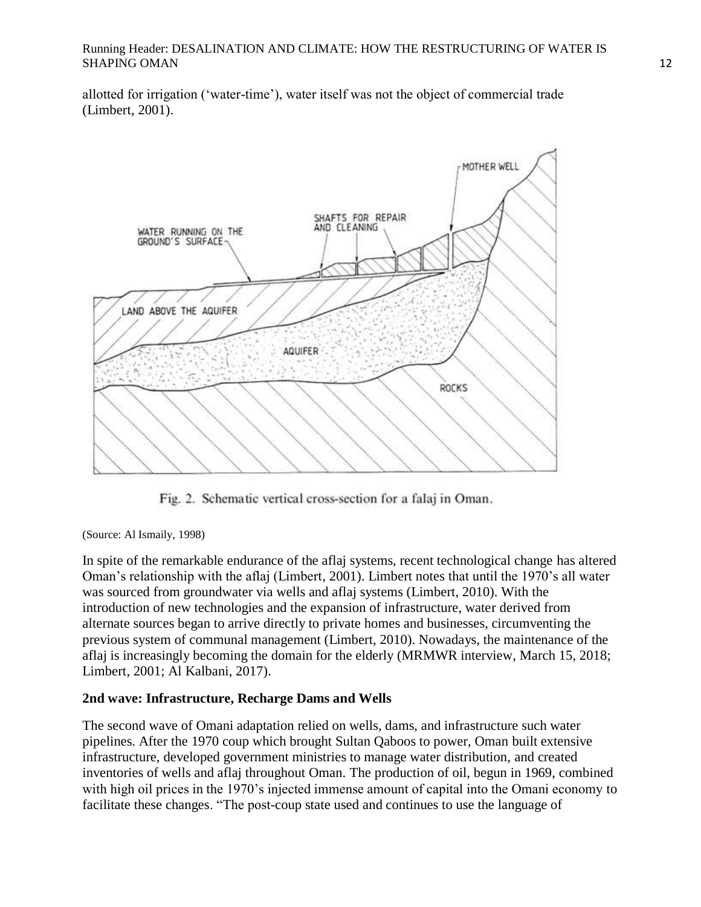allotted for irrigation ("water-time"), water itself was not the object of commercial trade (Limbert, 2001).



Fig. 2. Schematic vertical cross-section for a falaj in Oman.

(Source: Al Ismaily, 1998)

In spite of the remarkable endurance of the aflaj systems, recent technological change has altered Oman"s relationship with the aflaj (Limbert, 2001). Limbert notes that until the 1970"s all water was sourced from groundwater via wells and aflaj systems (Limbert, 2010). With the introduction of new technologies and the expansion of infrastructure, water derived from alternate sources began to arrive directly to private homes and businesses, circumventing the previous system of communal management (Limbert, 2010). Nowadays, the maintenance of the aflaj is increasingly becoming the domain for the elderly (MRMWR interview, March 15, 2018; Limbert, 2001; Al Kalbani, 2017).

# **2nd wave: Infrastructure, Recharge Dams and Wells**

The second wave of Omani adaptation relied on wells, dams, and infrastructure such water pipelines. After the 1970 coup which brought Sultan Qaboos to power, Oman built extensive infrastructure, developed government ministries to manage water distribution, and created inventories of wells and aflaj throughout Oman. The production of oil, begun in 1969, combined with high oil prices in the 1970's injected immense amount of capital into the Omani economy to facilitate these changes. "The post-coup state used and continues to use the language of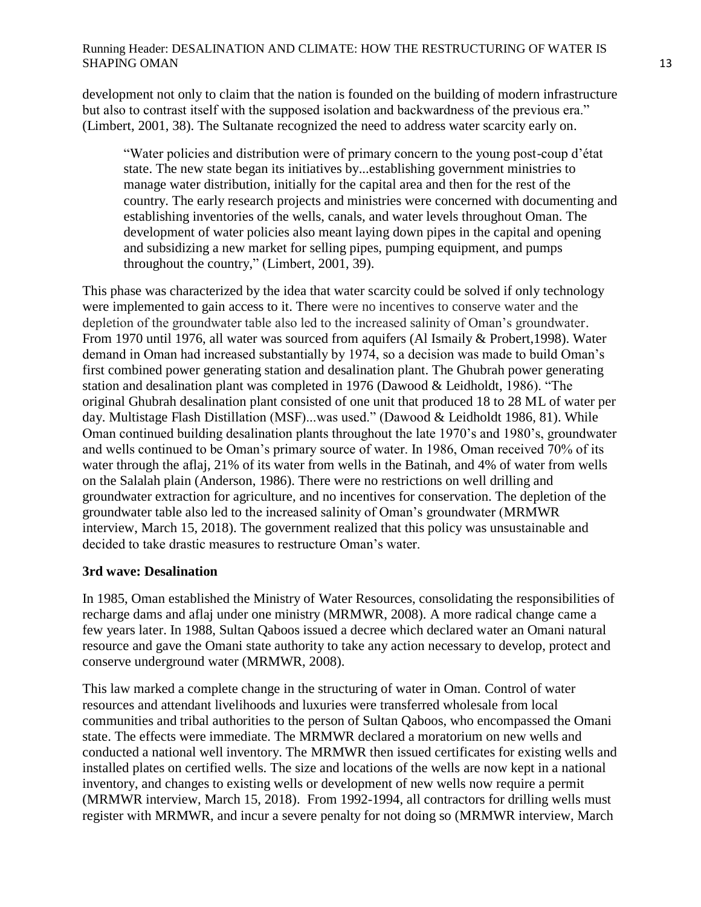development not only to claim that the nation is founded on the building of modern infrastructure but also to contrast itself with the supposed isolation and backwardness of the previous era." (Limbert, 2001, 38). The Sultanate recognized the need to address water scarcity early on.

"Water policies and distribution were of primary concern to the young post-coup d"état state. The new state began its initiatives by...establishing government ministries to manage water distribution, initially for the capital area and then for the rest of the country. The early research projects and ministries were concerned with documenting and establishing inventories of the wells, canals, and water levels throughout Oman. The development of water policies also meant laying down pipes in the capital and opening and subsidizing a new market for selling pipes, pumping equipment, and pumps throughout the country," (Limbert, 2001, 39).

This phase was characterized by the idea that water scarcity could be solved if only technology were implemented to gain access to it. There were no incentives to conserve water and the depletion of the groundwater table also led to the increased salinity of Oman's groundwater. From 1970 until 1976, all water was sourced from aquifers (Al Ismaily & Probert,1998). Water demand in Oman had increased substantially by 1974, so a decision was made to build Oman"s first combined power generating station and desalination plant. The Ghubrah power generating station and desalination plant was completed in 1976 (Dawood & Leidholdt, 1986). "The original Ghubrah desalination plant consisted of one unit that produced 18 to 28 ML of water per day. Multistage Flash Distillation (MSF)...was used." (Dawood & Leidholdt 1986, 81). While Oman continued building desalination plants throughout the late 1970"s and 1980"s, groundwater and wells continued to be Oman"s primary source of water. In 1986, Oman received 70% of its water through the aflaj, 21% of its water from wells in the Batinah, and 4% of water from wells on the Salalah plain (Anderson, 1986). There were no restrictions on well drilling and groundwater extraction for agriculture, and no incentives for conservation. The depletion of the groundwater table also led to the increased salinity of Oman"s groundwater (MRMWR interview, March 15, 2018). The government realized that this policy was unsustainable and decided to take drastic measures to restructure Oman's water.

# **3rd wave: Desalination**

In 1985, Oman established the Ministry of Water Resources, consolidating the responsibilities of recharge dams and aflaj under one ministry (MRMWR, 2008). A more radical change came a few years later. In 1988, Sultan Qaboos issued a decree which declared water an Omani natural resource and gave the Omani state authority to take any action necessary to develop, protect and conserve underground water (MRMWR, 2008).

This law marked a complete change in the structuring of water in Oman. Control of water resources and attendant livelihoods and luxuries were transferred wholesale from local communities and tribal authorities to the person of Sultan Qaboos, who encompassed the Omani state. The effects were immediate. The MRMWR declared a moratorium on new wells and conducted a national well inventory. The MRMWR then issued certificates for existing wells and installed plates on certified wells. The size and locations of the wells are now kept in a national inventory, and changes to existing wells or development of new wells now require a permit (MRMWR interview, March 15, 2018). From 1992-1994, all contractors for drilling wells must register with MRMWR, and incur a severe penalty for not doing so (MRMWR interview, March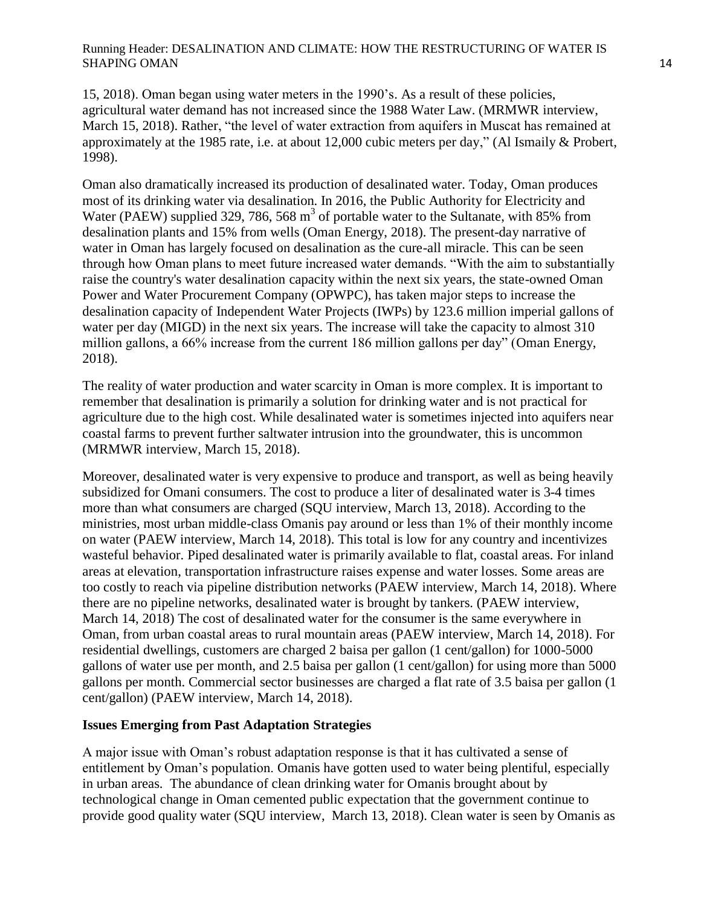15, 2018). Oman began using water meters in the 1990"s. As a result of these policies, agricultural water demand has not increased since the 1988 Water Law. (MRMWR interview, March 15, 2018). Rather, "the level of water extraction from aquifers in Muscat has remained at approximately at the 1985 rate, i.e. at about 12,000 cubic meters per day," (Al Ismaily & Probert, 1998).

Oman also dramatically increased its production of desalinated water. Today, Oman produces most of its drinking water via desalination. In 2016, the Public Authority for Electricity and Water (PAEW) supplied 329, 786, 568  $m<sup>3</sup>$  of portable water to the Sultanate, with 85% from desalination plants and 15% from wells (Oman Energy, 2018). The present-day narrative of water in Oman has largely focused on desalination as the cure-all miracle. This can be seen through how Oman plans to meet future increased water demands. "With the aim to substantially raise the country's water desalination capacity within the next six years, the state-owned Oman Power and Water Procurement Company (OPWPC), has taken major steps to increase the desalination capacity of Independent Water Projects (IWPs) by 123.6 million imperial gallons of water per day (MIGD) in the next six years. The increase will take the capacity to almost 310 million gallons, a 66% increase from the current 186 million gallons per day" (Oman Energy, 2018).

The reality of water production and water scarcity in Oman is more complex. It is important to remember that desalination is primarily a solution for drinking water and is not practical for agriculture due to the high cost. While desalinated water is sometimes injected into aquifers near coastal farms to prevent further saltwater intrusion into the groundwater, this is uncommon (MRMWR interview, March 15, 2018).

Moreover, desalinated water is very expensive to produce and transport, as well as being heavily subsidized for Omani consumers. The cost to produce a liter of desalinated water is 3-4 times more than what consumers are charged (SQU interview, March 13, 2018). According to the ministries, most urban middle-class Omanis pay around or less than 1% of their monthly income on water (PAEW interview, March 14, 2018). This total is low for any country and incentivizes wasteful behavior. Piped desalinated water is primarily available to flat, coastal areas. For inland areas at elevation, transportation infrastructure raises expense and water losses. Some areas are too costly to reach via pipeline distribution networks (PAEW interview, March 14, 2018). Where there are no pipeline networks, desalinated water is brought by tankers. (PAEW interview, March 14, 2018) The cost of desalinated water for the consumer is the same everywhere in Oman, from urban coastal areas to rural mountain areas (PAEW interview, March 14, 2018). For residential dwellings, customers are charged 2 baisa per gallon (1 cent/gallon) for 1000-5000 gallons of water use per month, and 2.5 baisa per gallon (1 cent/gallon) for using more than 5000 gallons per month. Commercial sector businesses are charged a flat rate of 3.5 baisa per gallon (1 cent/gallon) (PAEW interview, March 14, 2018).

## **Issues Emerging from Past Adaptation Strategies**

A major issue with Oman"s robust adaptation response is that it has cultivated a sense of entitlement by Oman"s population. Omanis have gotten used to water being plentiful, especially in urban areas. The abundance of clean drinking water for Omanis brought about by technological change in Oman cemented public expectation that the government continue to provide good quality water (SQU interview, March 13, 2018). Clean water is seen by Omanis as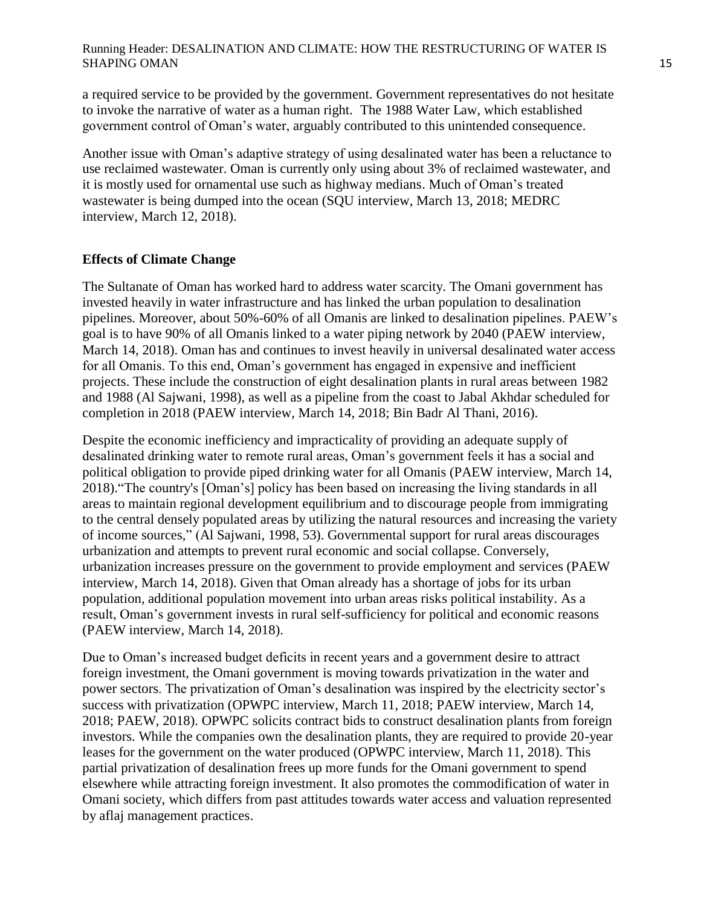a required service to be provided by the government. Government representatives do not hesitate to invoke the narrative of water as a human right. The 1988 Water Law, which established government control of Oman"s water, arguably contributed to this unintended consequence.

Another issue with Oman"s adaptive strategy of using desalinated water has been a reluctance to use reclaimed wastewater. Oman is currently only using about 3% of reclaimed wastewater, and it is mostly used for ornamental use such as highway medians. Much of Oman"s treated wastewater is being dumped into the ocean (SQU interview, March 13, 2018; MEDRC interview, March 12, 2018).

# **Effects of Climate Change**

The Sultanate of Oman has worked hard to address water scarcity. The Omani government has invested heavily in water infrastructure and has linked the urban population to desalination pipelines. Moreover, about 50%-60% of all Omanis are linked to desalination pipelines. PAEW"s goal is to have 90% of all Omanis linked to a water piping network by 2040 (PAEW interview, March 14, 2018). Oman has and continues to invest heavily in universal desalinated water access for all Omanis. To this end, Oman"s government has engaged in expensive and inefficient projects. These include the construction of eight desalination plants in rural areas between 1982 and 1988 (Al Sajwani, 1998), as well as a pipeline from the coast to Jabal Akhdar scheduled for completion in 2018 (PAEW interview, March 14, 2018; Bin Badr Al Thani, 2016).

Despite the economic inefficiency and impracticality of providing an adequate supply of desalinated drinking water to remote rural areas, Oman's government feels it has a social and political obligation to provide piped drinking water for all Omanis (PAEW interview, March 14, 2018)."The country's [Oman"s] policy has been based on increasing the living standards in all areas to maintain regional development equilibrium and to discourage people from immigrating to the central densely populated areas by utilizing the natural resources and increasing the variety of income sources," (Al Sajwani, 1998, 53). Governmental support for rural areas discourages urbanization and attempts to prevent rural economic and social collapse. Conversely, urbanization increases pressure on the government to provide employment and services (PAEW interview, March 14, 2018). Given that Oman already has a shortage of jobs for its urban population, additional population movement into urban areas risks political instability. As a result, Oman"s government invests in rural self-sufficiency for political and economic reasons (PAEW interview, March 14, 2018).

Due to Oman's increased budget deficits in recent years and a government desire to attract foreign investment, the Omani government is moving towards privatization in the water and power sectors. The privatization of Oman's desalination was inspired by the electricity sector's success with privatization (OPWPC interview, March 11, 2018; PAEW interview, March 14, 2018; PAEW, 2018). OPWPC solicits contract bids to construct desalination plants from foreign investors. While the companies own the desalination plants, they are required to provide 20-year leases for the government on the water produced (OPWPC interview, March 11, 2018). This partial privatization of desalination frees up more funds for the Omani government to spend elsewhere while attracting foreign investment. It also promotes the commodification of water in Omani society, which differs from past attitudes towards water access and valuation represented by aflaj management practices.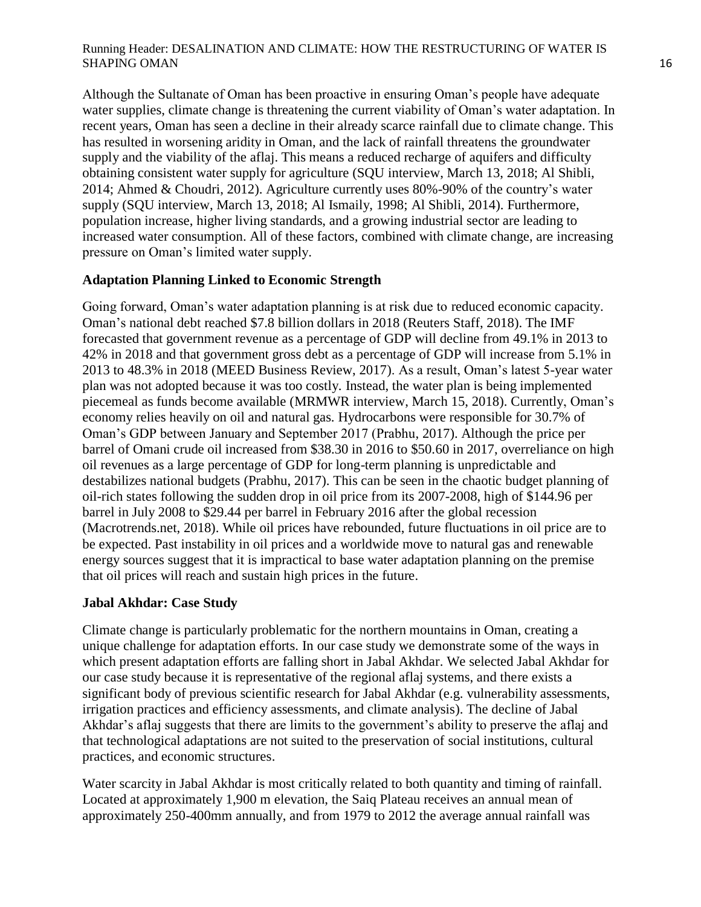Although the Sultanate of Oman has been proactive in ensuring Oman"s people have adequate water supplies, climate change is threatening the current viability of Oman's water adaptation. In recent years, Oman has seen a decline in their already scarce rainfall due to climate change. This has resulted in worsening aridity in Oman, and the lack of rainfall threatens the groundwater supply and the viability of the aflaj. This means a reduced recharge of aquifers and difficulty obtaining consistent water supply for agriculture (SQU interview, March 13, 2018; Al Shibli, 2014; Ahmed & Choudri, 2012). Agriculture currently uses 80%-90% of the country"s water supply (SQU interview, March 13, 2018; Al Ismaily, 1998; Al Shibli, 2014). Furthermore, population increase, higher living standards, and a growing industrial sector are leading to increased water consumption. All of these factors, combined with climate change, are increasing pressure on Oman"s limited water supply.

# **Adaptation Planning Linked to Economic Strength**

Going forward, Oman"s water adaptation planning is at risk due to reduced economic capacity. Oman"s national debt reached \$7.8 billion dollars in 2018 (Reuters Staff, 2018). The IMF forecasted that government revenue as a percentage of GDP will decline from 49.1% in 2013 to 42% in 2018 and that government gross debt as a percentage of GDP will increase from 5.1% in 2013 to 48.3% in 2018 (MEED Business Review, 2017). As a result, Oman"s latest 5-year water plan was not adopted because it was too costly. Instead, the water plan is being implemented piecemeal as funds become available (MRMWR interview, March 15, 2018). Currently, Oman"s economy relies heavily on oil and natural gas. Hydrocarbons were responsible for 30.7% of Oman"s GDP between January and September 2017 (Prabhu, 2017). Although the price per barrel of Omani crude oil increased from \$38.30 in 2016 to \$50.60 in 2017, overreliance on high oil revenues as a large percentage of GDP for long-term planning is unpredictable and destabilizes national budgets (Prabhu, 2017). This can be seen in the chaotic budget planning of oil-rich states following the sudden drop in oil price from its 2007-2008, high of \$144.96 per barrel in July 2008 to \$29.44 per barrel in February 2016 after the global recession (Macrotrends.net, 2018). While oil prices have rebounded, future fluctuations in oil price are to be expected. Past instability in oil prices and a worldwide move to natural gas and renewable energy sources suggest that it is impractical to base water adaptation planning on the premise that oil prices will reach and sustain high prices in the future.

# **Jabal Akhdar: Case Study**

Climate change is particularly problematic for the northern mountains in Oman, creating a unique challenge for adaptation efforts. In our case study we demonstrate some of the ways in which present adaptation efforts are falling short in Jabal Akhdar. We selected Jabal Akhdar for our case study because it is representative of the regional aflaj systems, and there exists a significant body of previous scientific research for Jabal Akhdar (e.g. vulnerability assessments, irrigation practices and efficiency assessments, and climate analysis). The decline of Jabal Akhdar's aflaj suggests that there are limits to the government's ability to preserve the aflaj and that technological adaptations are not suited to the preservation of social institutions, cultural practices, and economic structures.

Water scarcity in Jabal Akhdar is most critically related to both quantity and timing of rainfall. Located at approximately 1,900 m elevation, the Saiq Plateau receives an annual mean of approximately 250-400mm annually, and from 1979 to 2012 the average annual rainfall was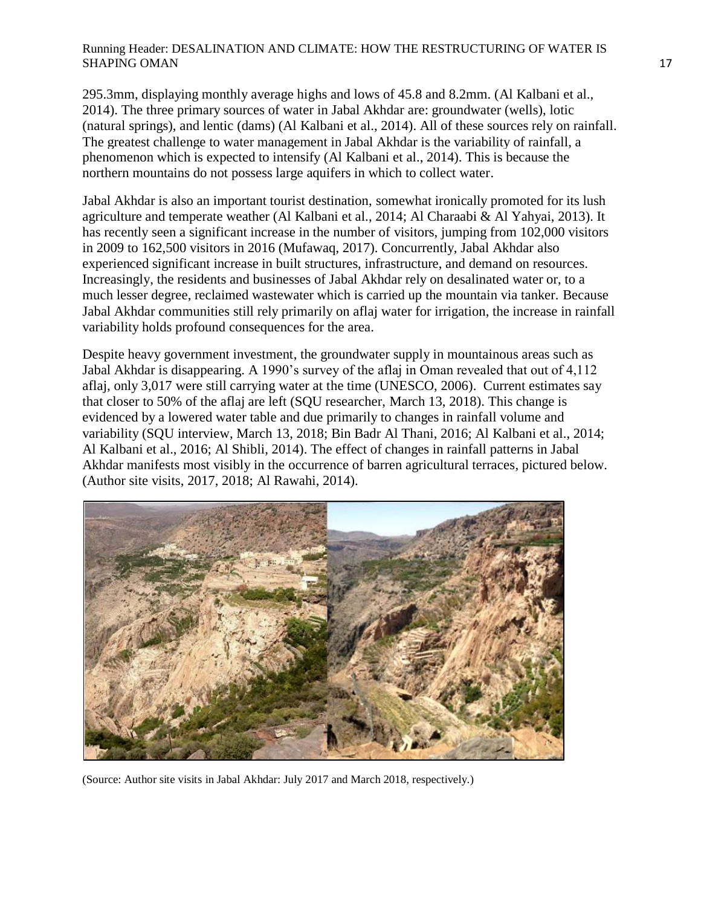295.3mm, displaying monthly average highs and lows of 45.8 and 8.2mm. (Al Kalbani et al., 2014). The three primary sources of water in Jabal Akhdar are: groundwater (wells), lotic (natural springs), and lentic (dams) (Al Kalbani et al., 2014). All of these sources rely on rainfall. The greatest challenge to water management in Jabal Akhdar is the variability of rainfall, a phenomenon which is expected to intensify (Al Kalbani et al., 2014). This is because the northern mountains do not possess large aquifers in which to collect water.

Jabal Akhdar is also an important tourist destination, somewhat ironically promoted for its lush agriculture and temperate weather (Al Kalbani et al., 2014; Al Charaabi & Al Yahyai, 2013). It has recently seen a significant increase in the number of visitors, jumping from 102,000 visitors in 2009 to 162,500 visitors in 2016 (Mufawaq, 2017). Concurrently, Jabal Akhdar also experienced significant increase in built structures, infrastructure, and demand on resources. Increasingly, the residents and businesses of Jabal Akhdar rely on desalinated water or, to a much lesser degree, reclaimed wastewater which is carried up the mountain via tanker. Because Jabal Akhdar communities still rely primarily on aflaj water for irrigation, the increase in rainfall variability holds profound consequences for the area.

Despite heavy government investment, the groundwater supply in mountainous areas such as Jabal Akhdar is disappearing. A 1990"s survey of the aflaj in Oman revealed that out of 4,112 aflaj, only 3,017 were still carrying water at the time (UNESCO, 2006). Current estimates say that closer to 50% of the aflaj are left (SQU researcher, March 13, 2018). This change is evidenced by a lowered water table and due primarily to changes in rainfall volume and variability (SQU interview, March 13, 2018; Bin Badr Al Thani, 2016; Al Kalbani et al., 2014; Al Kalbani et al., 2016; Al Shibli, 2014). The effect of changes in rainfall patterns in Jabal Akhdar manifests most visibly in the occurrence of barren agricultural terraces, pictured below. (Author site visits, 2017, 2018; Al Rawahi, 2014).



(Source: Author site visits in Jabal Akhdar: July 2017 and March 2018, respectively.)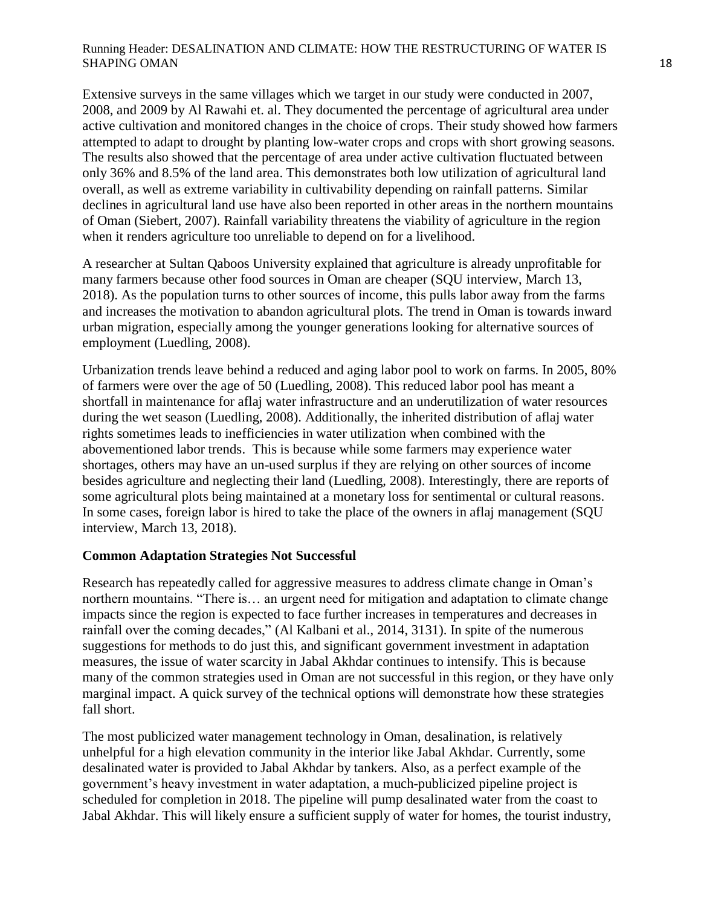Extensive surveys in the same villages which we target in our study were conducted in 2007, 2008, and 2009 by Al Rawahi et. al. They documented the percentage of agricultural area under active cultivation and monitored changes in the choice of crops. Their study showed how farmers attempted to adapt to drought by planting low-water crops and crops with short growing seasons. The results also showed that the percentage of area under active cultivation fluctuated between only 36% and 8.5% of the land area. This demonstrates both low utilization of agricultural land overall, as well as extreme variability in cultivability depending on rainfall patterns. Similar declines in agricultural land use have also been reported in other areas in the northern mountains of Oman (Siebert, 2007). Rainfall variability threatens the viability of agriculture in the region when it renders agriculture too unreliable to depend on for a livelihood.

A researcher at Sultan Qaboos University explained that agriculture is already unprofitable for many farmers because other food sources in Oman are cheaper (SQU interview, March 13, 2018). As the population turns to other sources of income, this pulls labor away from the farms and increases the motivation to abandon agricultural plots. The trend in Oman is towards inward urban migration, especially among the younger generations looking for alternative sources of employment (Luedling, 2008).

Urbanization trends leave behind a reduced and aging labor pool to work on farms. In 2005, 80% of farmers were over the age of 50 (Luedling, 2008). This reduced labor pool has meant a shortfall in maintenance for aflaj water infrastructure and an underutilization of water resources during the wet season (Luedling, 2008). Additionally, the inherited distribution of aflaj water rights sometimes leads to inefficiencies in water utilization when combined with the abovementioned labor trends. This is because while some farmers may experience water shortages, others may have an un-used surplus if they are relying on other sources of income besides agriculture and neglecting their land (Luedling, 2008). Interestingly, there are reports of some agricultural plots being maintained at a monetary loss for sentimental or cultural reasons. In some cases, foreign labor is hired to take the place of the owners in aflaj management (SQU interview, March 13, 2018).

# **Common Adaptation Strategies Not Successful**

Research has repeatedly called for aggressive measures to address climate change in Oman"s northern mountains. "There is… an urgent need for mitigation and adaptation to climate change impacts since the region is expected to face further increases in temperatures and decreases in rainfall over the coming decades," (Al Kalbani et al., 2014, 3131). In spite of the numerous suggestions for methods to do just this, and significant government investment in adaptation measures, the issue of water scarcity in Jabal Akhdar continues to intensify. This is because many of the common strategies used in Oman are not successful in this region, or they have only marginal impact. A quick survey of the technical options will demonstrate how these strategies fall short.

The most publicized water management technology in Oman, desalination, is relatively unhelpful for a high elevation community in the interior like Jabal Akhdar. Currently, some desalinated water is provided to Jabal Akhdar by tankers. Also, as a perfect example of the government"s heavy investment in water adaptation, a much-publicized pipeline project is scheduled for completion in 2018. The pipeline will pump desalinated water from the coast to Jabal Akhdar. This will likely ensure a sufficient supply of water for homes, the tourist industry,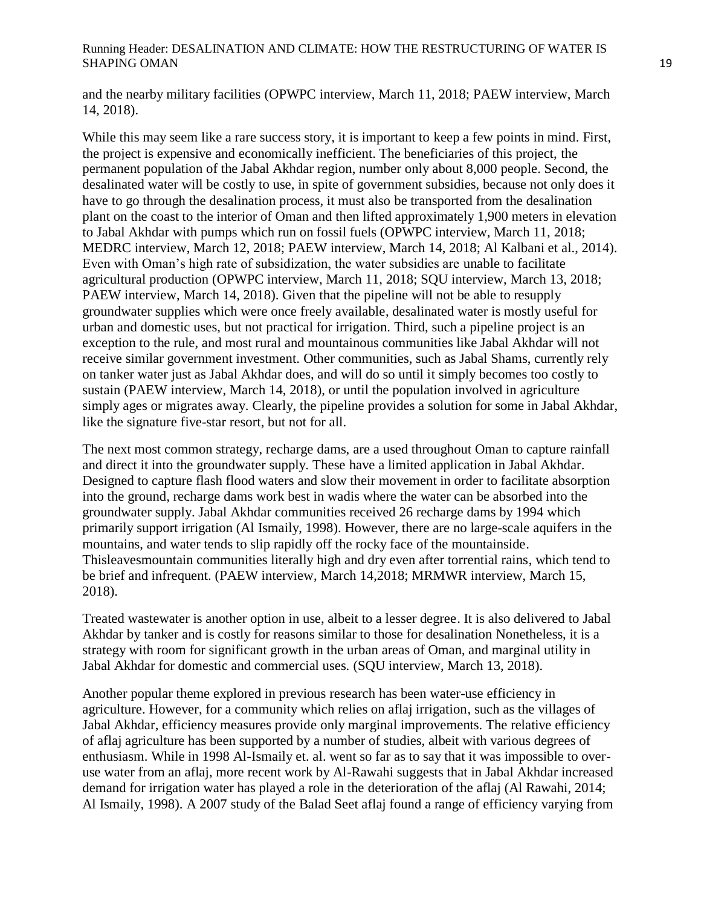and the nearby military facilities (OPWPC interview, March 11, 2018; PAEW interview, March 14, 2018).

While this may seem like a rare success story, it is important to keep a few points in mind. First, the project is expensive and economically inefficient. The beneficiaries of this project, the permanent population of the Jabal Akhdar region, number only about 8,000 people. Second, the desalinated water will be costly to use, in spite of government subsidies, because not only does it have to go through the desalination process, it must also be transported from the desalination plant on the coast to the interior of Oman and then lifted approximately 1,900 meters in elevation to Jabal Akhdar with pumps which run on fossil fuels (OPWPC interview, March 11, 2018; MEDRC interview, March 12, 2018; PAEW interview, March 14, 2018; Al Kalbani et al., 2014). Even with Oman"s high rate of subsidization, the water subsidies are unable to facilitate agricultural production (OPWPC interview, March 11, 2018; SQU interview, March 13, 2018; PAEW interview, March 14, 2018). Given that the pipeline will not be able to resupply groundwater supplies which were once freely available, desalinated water is mostly useful for urban and domestic uses, but not practical for irrigation. Third, such a pipeline project is an exception to the rule, and most rural and mountainous communities like Jabal Akhdar will not receive similar government investment. Other communities, such as Jabal Shams, currently rely on tanker water just as Jabal Akhdar does, and will do so until it simply becomes too costly to sustain (PAEW interview, March 14, 2018), or until the population involved in agriculture simply ages or migrates away. Clearly, the pipeline provides a solution for some in Jabal Akhdar, like the signature five-star resort, but not for all.

The next most common strategy, recharge dams, are a used throughout Oman to capture rainfall and direct it into the groundwater supply. These have a limited application in Jabal Akhdar. Designed to capture flash flood waters and slow their movement in order to facilitate absorption into the ground, recharge dams work best in wadis where the water can be absorbed into the groundwater supply. Jabal Akhdar communities received 26 recharge dams by 1994 which primarily support irrigation (Al Ismaily, 1998). However, there are no large-scale aquifers in the mountains, and water tends to slip rapidly off the rocky face of the mountainside. Thisleavesmountain communities literally high and dry even after torrential rains, which tend to be brief and infrequent. (PAEW interview, March 14,2018; MRMWR interview, March 15, 2018).

Treated wastewater is another option in use, albeit to a lesser degree. It is also delivered to Jabal Akhdar by tanker and is costly for reasons similar to those for desalination Nonetheless, it is a strategy with room for significant growth in the urban areas of Oman, and marginal utility in Jabal Akhdar for domestic and commercial uses. (SQU interview, March 13, 2018).

Another popular theme explored in previous research has been water-use efficiency in agriculture. However, for a community which relies on aflaj irrigation, such as the villages of Jabal Akhdar, efficiency measures provide only marginal improvements. The relative efficiency of aflaj agriculture has been supported by a number of studies, albeit with various degrees of enthusiasm. While in 1998 Al-Ismaily et. al. went so far as to say that it was impossible to overuse water from an aflaj, more recent work by Al-Rawahi suggests that in Jabal Akhdar increased demand for irrigation water has played a role in the deterioration of the aflaj (Al Rawahi, 2014; Al Ismaily, 1998). A 2007 study of the Balad Seet aflaj found a range of efficiency varying from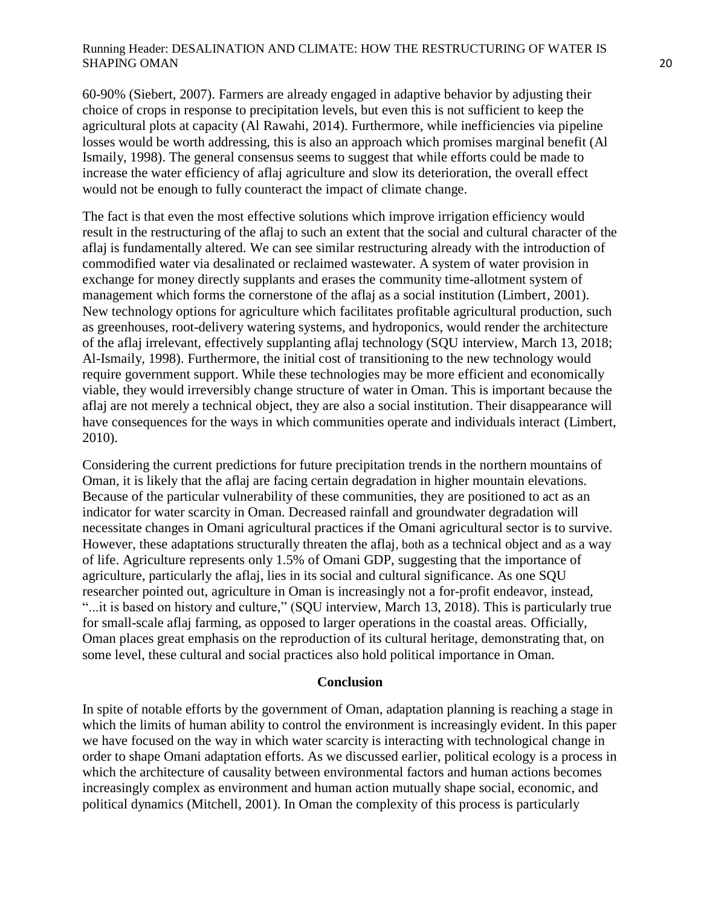60-90% (Siebert, 2007). Farmers are already engaged in adaptive behavior by adjusting their choice of crops in response to precipitation levels, but even this is not sufficient to keep the agricultural plots at capacity (Al Rawahi, 2014). Furthermore, while inefficiencies via pipeline losses would be worth addressing, this is also an approach which promises marginal benefit (Al Ismaily, 1998). The general consensus seems to suggest that while efforts could be made to increase the water efficiency of aflaj agriculture and slow its deterioration, the overall effect would not be enough to fully counteract the impact of climate change.

The fact is that even the most effective solutions which improve irrigation efficiency would result in the restructuring of the aflaj to such an extent that the social and cultural character of the aflaj is fundamentally altered. We can see similar restructuring already with the introduction of commodified water via desalinated or reclaimed wastewater. A system of water provision in exchange for money directly supplants and erases the community time-allotment system of management which forms the cornerstone of the aflaj as a social institution (Limbert, 2001). New technology options for agriculture which facilitates profitable agricultural production, such as greenhouses, root-delivery watering systems, and hydroponics, would render the architecture of the aflaj irrelevant, effectively supplanting aflaj technology (SQU interview, March 13, 2018; Al-Ismaily, 1998). Furthermore, the initial cost of transitioning to the new technology would require government support. While these technologies may be more efficient and economically viable, they would irreversibly change structure of water in Oman. This is important because the aflaj are not merely a technical object, they are also a social institution. Their disappearance will have consequences for the ways in which communities operate and individuals interact (Limbert, 2010).

Considering the current predictions for future precipitation trends in the northern mountains of Oman, it is likely that the aflaj are facing certain degradation in higher mountain elevations. Because of the particular vulnerability of these communities, they are positioned to act as an indicator for water scarcity in Oman. Decreased rainfall and groundwater degradation will necessitate changes in Omani agricultural practices if the Omani agricultural sector is to survive. However, these adaptations structurally threaten the aflaj, both as a technical object and as a way of life. Agriculture represents only 1.5% of Omani GDP, suggesting that the importance of agriculture, particularly the aflaj, lies in its social and cultural significance. As one SQU researcher pointed out, agriculture in Oman is increasingly not a for-profit endeavor, instead, "...it is based on history and culture," (SQU interview, March 13, 2018). This is particularly true for small-scale aflaj farming, as opposed to larger operations in the coastal areas. Officially, Oman places great emphasis on the reproduction of its cultural heritage, demonstrating that, on some level, these cultural and social practices also hold political importance in Oman.

#### **Conclusion**

In spite of notable efforts by the government of Oman, adaptation planning is reaching a stage in which the limits of human ability to control the environment is increasingly evident. In this paper we have focused on the way in which water scarcity is interacting with technological change in order to shape Omani adaptation efforts. As we discussed earlier, political ecology is a process in which the architecture of causality between environmental factors and human actions becomes increasingly complex as environment and human action mutually shape social, economic, and political dynamics (Mitchell, 2001). In Oman the complexity of this process is particularly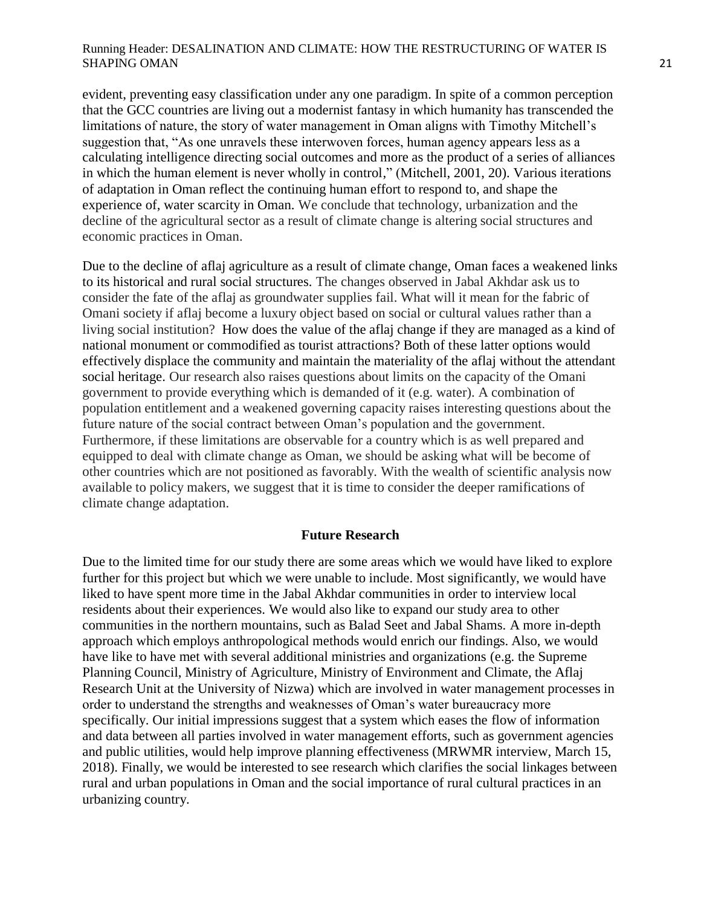evident, preventing easy classification under any one paradigm. In spite of a common perception that the GCC countries are living out a modernist fantasy in which humanity has transcended the limitations of nature, the story of water management in Oman aligns with Timothy Mitchell"s suggestion that, "As one unravels these interwoven forces, human agency appears less as a calculating intelligence directing social outcomes and more as the product of a series of alliances in which the human element is never wholly in control," (Mitchell, 2001, 20). Various iterations of adaptation in Oman reflect the continuing human effort to respond to, and shape the experience of, water scarcity in Oman. We conclude that technology, urbanization and the decline of the agricultural sector as a result of climate change is altering social structures and economic practices in Oman.

Due to the decline of aflaj agriculture as a result of climate change, Oman faces a weakened links to its historical and rural social structures. The changes observed in Jabal Akhdar ask us to consider the fate of the aflaj as groundwater supplies fail. What will it mean for the fabric of Omani society if aflaj become a luxury object based on social or cultural values rather than a living social institution? How does the value of the aflaj change if they are managed as a kind of national monument or commodified as tourist attractions? Both of these latter options would effectively displace the community and maintain the materiality of the aflaj without the attendant social heritage. Our research also raises questions about limits on the capacity of the Omani government to provide everything which is demanded of it (e.g. water). A combination of population entitlement and a weakened governing capacity raises interesting questions about the future nature of the social contract between Oman"s population and the government. Furthermore, if these limitations are observable for a country which is as well prepared and equipped to deal with climate change as Oman, we should be asking what will be become of other countries which are not positioned as favorably. With the wealth of scientific analysis now available to policy makers, we suggest that it is time to consider the deeper ramifications of climate change adaptation.

#### **Future Research**

Due to the limited time for our study there are some areas which we would have liked to explore further for this project but which we were unable to include. Most significantly, we would have liked to have spent more time in the Jabal Akhdar communities in order to interview local residents about their experiences. We would also like to expand our study area to other communities in the northern mountains, such as Balad Seet and Jabal Shams. A more in-depth approach which employs anthropological methods would enrich our findings. Also, we would have like to have met with several additional ministries and organizations (e.g. the Supreme Planning Council, Ministry of Agriculture, Ministry of Environment and Climate, the Aflaj Research Unit at the University of Nizwa) which are involved in water management processes in order to understand the strengths and weaknesses of Oman"s water bureaucracy more specifically. Our initial impressions suggest that a system which eases the flow of information and data between all parties involved in water management efforts, such as government agencies and public utilities, would help improve planning effectiveness (MRWMR interview, March 15, 2018). Finally, we would be interested to see research which clarifies the social linkages between rural and urban populations in Oman and the social importance of rural cultural practices in an urbanizing country.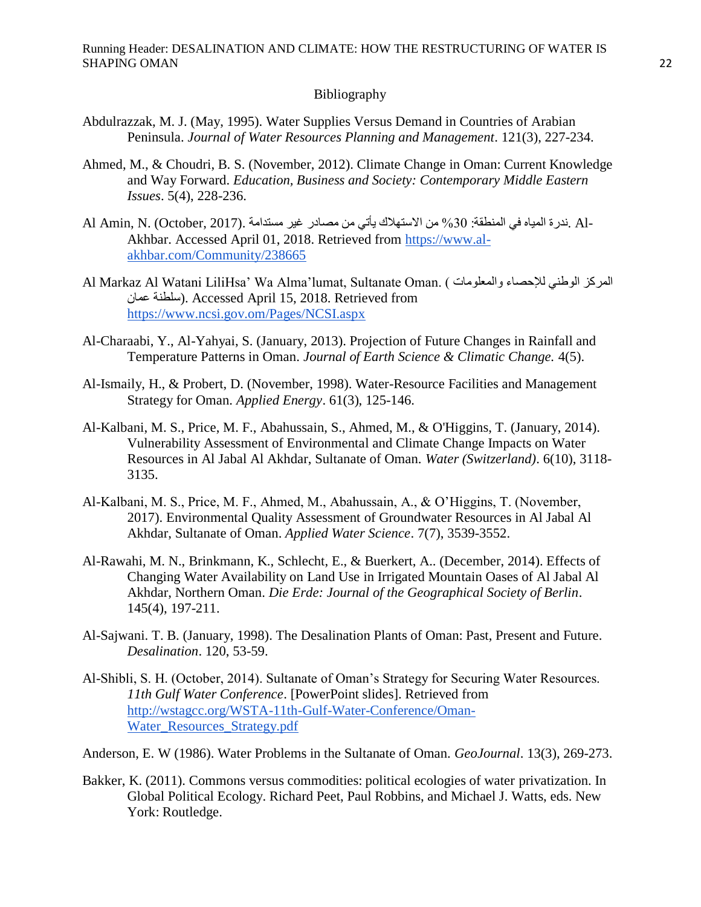#### Bibliography

- Abdulrazzak, M. J. (May, 1995). Water Supplies Versus Demand in Countries of Arabian Peninsula. *Journal of Water Resources Planning and Management*. 121(3), 227-234.
- Ahmed, M., & Choudri, B. S. (November, 2012). Climate Change in Oman: Current Knowledge and Way Forward. *Education, Business and Society: Contemporary Middle Eastern Issues*. 5(4), 228-236.
- Al Amin, N. (October, 2017). مستدامة بون مستدامة بيأتي من مصادر مع الاستهلاك من مستدامة الميام في المنطقة: 41 Akhbar. Accessed April 01, 2018. Retrieved from [https://www.al](https://www.al-akhbar.com/Community/238665)[akhbar.com/Community/238665](https://www.al-akhbar.com/Community/238665)
- Al Markaz Al Watani LiliHsa' Wa Alma'lumat, Sultanate Oman. ( المعركز الوطني للإحصاء والمعلومات ) عمان سلطىت(. Accessed April 15, 2018. Retrieved fro[m](https://www.ncsi.gov.om/Pages/NCSI.aspx) <https://www.ncsi.gov.om/Pages/NCSI.aspx>
- Al-Charaabi, Y., Al-Yahyai, S. (January, 2013). Projection of Future Changes in Rainfall and Temperature Patterns in Oman. *Journal of Earth Science & Climatic Change.* 4(5).
- Al-Ismaily, H., & Probert, D. (November, 1998). Water-Resource Facilities and Management Strategy for Oman. *Applied Energy*. 61(3), 125-146.
- Al-Kalbani, M. S., Price, M. F., Abahussain, S., Ahmed, M., & O'Higgins, T. (January, 2014). Vulnerability Assessment of Environmental and Climate Change Impacts on Water Resources in Al Jabal Al Akhdar, Sultanate of Oman. *Water (Switzerland)*. 6(10), 3118- 3135.
- Al-Kalbani, M. S., Price, M. F., Ahmed, M., Abahussain, A., & O"Higgins, T. (November, 2017). Environmental Quality Assessment of Groundwater Resources in Al Jabal Al Akhdar, Sultanate of Oman. *Applied Water Science*. 7(7), 3539-3552.
- Al-Rawahi, M. N., Brinkmann, K., Schlecht, E., & Buerkert, A.. (December, 2014). Effects of Changing Water Availability on Land Use in Irrigated Mountain Oases of Al Jabal Al Akhdar, Northern Oman. *Die Erde: Journal of the Geographical Society of Berlin*. 145(4), 197-211.
- Al-Sajwani. T. B. (January, 1998). The Desalination Plants of Oman: Past, Present and Future. *Desalination*. 120, 53-59.
- Al-Shibli, S. H. (October, 2014). Sultanate of Oman"s Strategy for Securing Water Resources. *11th Gulf Water Conference*. [PowerPoint slides]. Retrieved from [http://wstagcc.org/WSTA-11th-Gulf-Water-Conference/Oman-](http://wstagcc.org/WSTA-11th-Gulf-Water-Conference/Oman-Water_Resources_Strategy.pdf)[Water\\_Resources\\_Strategy.pdf](http://wstagcc.org/WSTA-11th-Gulf-Water-Conference/Oman-Water_Resources_Strategy.pdf)

Anderson, E. W (1986). Water Problems in the Sultanate of Oman. *GeoJournal*. 13(3), 269-273.

Bakker, K. (2011). Commons versus commodities: political ecologies of water privatization. In Global Political Ecology. Richard Peet, Paul Robbins, and Michael J. Watts, eds. New York: Routledge.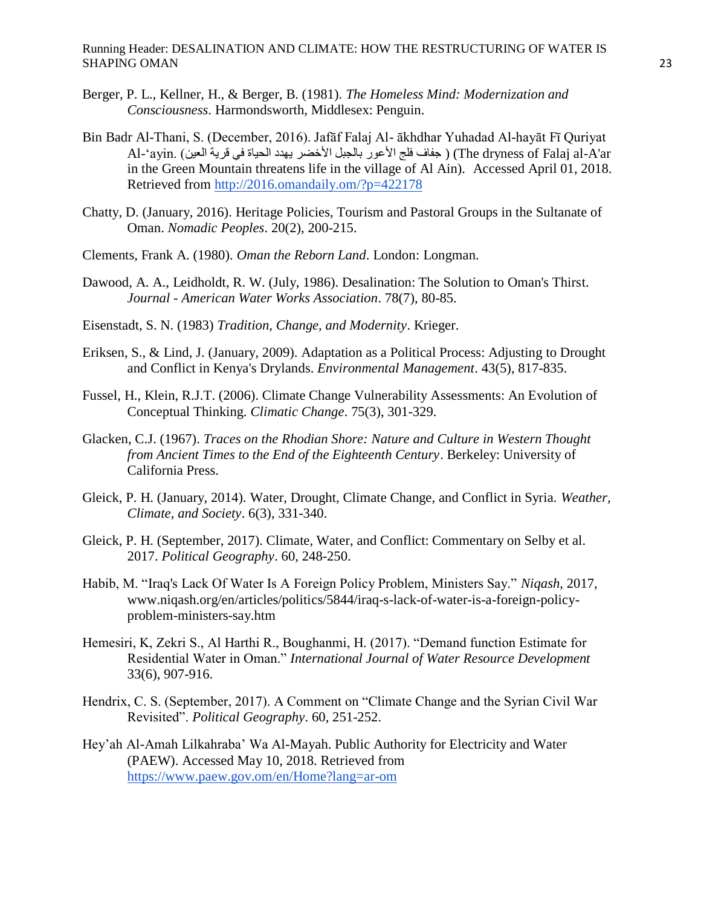- Berger, P. L., Kellner, H., & Berger, B. (1981). *The Homeless Mind: Modernization and Consciousness*. Harmondsworth, Middlesex: Penguin.
- Bin Badr Al-Thani, S. (December, 2016). Jafāf Falaj Al- ākhdhar Yuhadad Al-hayāt Fī Quriyat Al-'ayin. (جفاف فلج الأعور بالجبل الأخضر يهدد الحياة في قرية العين ) .Al-'ayin in the Green Mountain threatens life in the village of Al Ain). Accessed April 01, 2018. Retrieved from <http://2016.omandaily.om/?p=422178>
- Chatty, D. (January, 2016). Heritage Policies, Tourism and Pastoral Groups in the Sultanate of Oman. *Nomadic Peoples*. 20(2), 200-215.
- Clements, Frank A. (1980). *Oman the Reborn Land*. London: Longman.
- Dawood, A. A., Leidholdt, R. W. (July, 1986). Desalination: The Solution to Oman's Thirst. *Journal - American Water Works Association*. 78(7), 80-85.
- Eisenstadt, S. N. (1983) *Tradition, Change, and Modernity*. Krieger.
- Eriksen, S., & Lind, J. (January, 2009). Adaptation as a Political Process: Adjusting to Drought and Conflict in Kenya's Drylands. *Environmental Management*. 43(5), 817-835.
- Fussel, H., Klein, R.J.T. (2006). Climate Change Vulnerability Assessments: An Evolution of Conceptual Thinking. *Climatic Change*. 75(3), 301-329.
- Glacken, C.J. (1967). *Traces on the Rhodian Shore: Nature and Culture in Western Thought from Ancient Times to the End of the Eighteenth Century*. Berkeley: University of California Press.
- Gleick, P. H. (January, 2014). Water, Drought, Climate Change, and Conflict in Syria. *Weather, Climate, and Society*. 6(3), 331-340.
- Gleick, P. H. (September, 2017). Climate, Water, and Conflict: Commentary on Selby et al. 2017. *Political Geography*. 60, 248-250.
- Habib, M. "Iraq's Lack Of Water Is A Foreign Policy Problem, Ministers Say." *Niqash*, 2017, www.niqash.org/en/articles/politics/5844/iraq-s-lack-of-water-is-a-foreign-policyproblem-ministers-say.htm
- Hemesiri, K, Zekri S., Al Harthi R., Boughanmi, H. (2017). "Demand function Estimate for Residential Water in Oman." *International Journal of Water Resource Development*  33(6), 907-916.
- Hendrix, C. S. (September, 2017). A Comment on "Climate Change and the Syrian Civil War Revisited". *Political Geography*. 60, 251-252.
- Hey"ah Al-Amah Lilkahraba" Wa Al-Mayah. Public Authority for Electricity and Water (PAEW). Accessed May 10, 2018. Retrieved from <https://www.paew.gov.om/en/Home?lang=ar-om>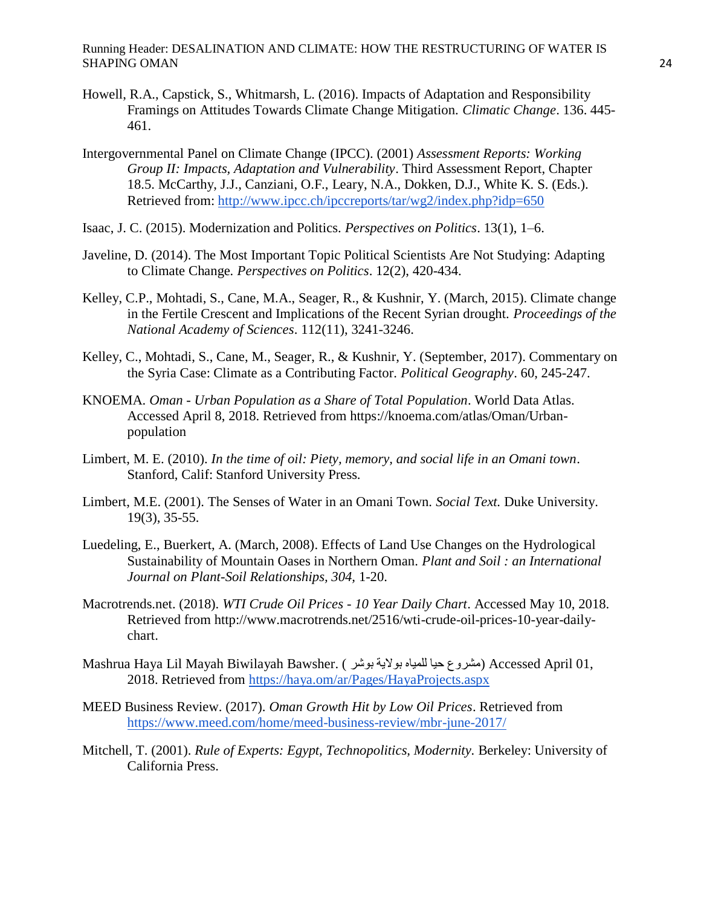- Howell, R.A., Capstick, S., Whitmarsh, L. (2016). Impacts of Adaptation and Responsibility Framings on Attitudes Towards Climate Change Mitigation. *Climatic Change*. 136. 445- 461.
- Intergovernmental Panel on Climate Change (IPCC). (2001) *Assessment Reports: Working Group II: Impacts, Adaptation and Vulnerability*. Third Assessment Report, Chapter 18.5. McCarthy, J.J., Canziani, O.F., Leary, N.A., Dokken, D.J., White K. S. (Eds.). Retrieved from:<http://www.ipcc.ch/ipccreports/tar/wg2/index.php?idp=650>
- Isaac, J. C. (2015). Modernization and Politics. *Perspectives on Politics*. 13(1), 1–6.
- Javeline, D. (2014). The Most Important Topic Political Scientists Are Not Studying: Adapting to Climate Change*. Perspectives on Politics*. 12(2), 420-434.
- Kelley, C.P., Mohtadi, S., Cane, M.A., Seager, R., & Kushnir, Y. (March, 2015). Climate change in the Fertile Crescent and Implications of the Recent Syrian drought. *Proceedings of the National Academy of Sciences*. 112(11), 3241-3246.
- Kelley, C., Mohtadi, S., Cane, M., Seager, R., & Kushnir, Y. (September, 2017). Commentary on the Syria Case: Climate as a Contributing Factor. *Political Geography*. 60, 245-247.
- KNOEMA. *Oman - Urban Population as a Share of Total Population*. World Data Atlas. Accessed April 8, 2018. Retrieved from https://knoema.com/atlas/Oman/Urbanpopulation
- Limbert, M. E. (2010). *In the time of oil: Piety, memory, and social life in an Omani town*. Stanford, Calif: Stanford University Press.
- Limbert, M.E. (2001). The Senses of Water in an Omani Town. *Social Text.* Duke University. 19(3), 35-55.
- Luedeling, E., Buerkert, A. (March, 2008). Effects of Land Use Changes on the Hydrological Sustainability of Mountain Oases in Northern Oman. *Plant and Soil : an International Journal on Plant-Soil Relationships, 304,* 1-20.
- Macrotrends.net. (2018). *WTI Crude Oil Prices - 10 Year Daily Chart*. Accessed May 10, 2018. Retrieved from http://www.macrotrends.net/2516/wti-crude-oil-prices-10-year-dailychart.
- Mashrua Haya Lil Mayah Biwilayah Bawsher. ( بىشر بىاليت للمياي حيا مشروع (Accessed April 01, 2018. Retrieved from<https://haya.om/ar/Pages/HayaProjects.aspx>
- MEED Business Review. (2017). *Oman Growth Hit by Low Oil Prices*. Retrieved from <https://www.meed.com/home/meed-business-review/mbr-june-2017/>
- Mitchell, T. (2001). *Rule of Experts: Egypt, Technopolitics, Modernity.* Berkeley: University of California Press.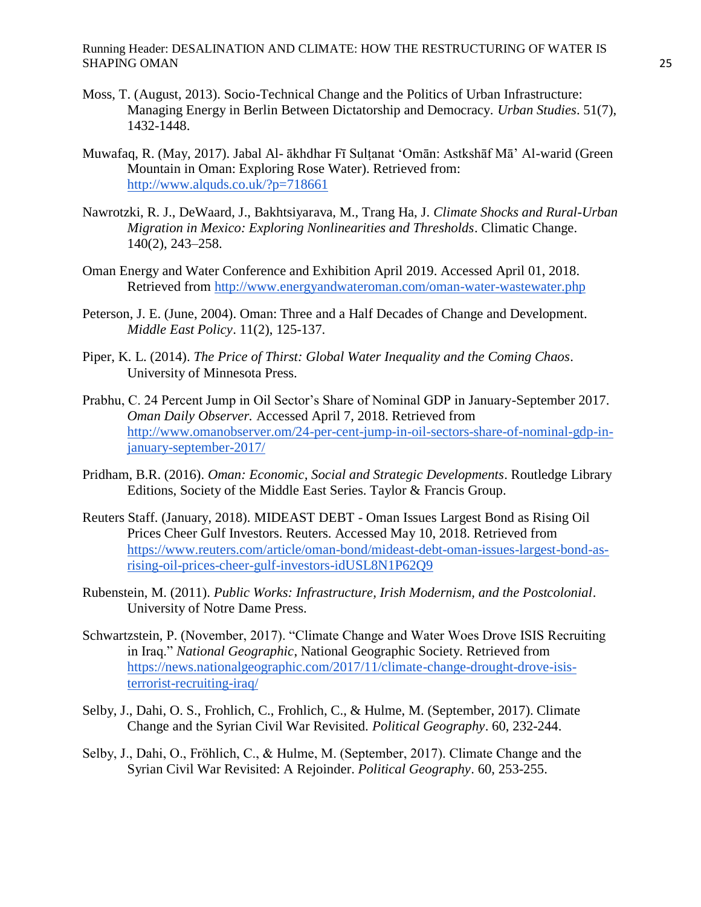- Moss, T. (August, 2013). Socio-Technical Change and the Politics of Urban Infrastructure: Managing Energy in Berlin Between Dictatorship and Democracy. *Urban Studies*. 51(7), 1432-1448.
- Muwafaq, R. (May, 2017). Jabal Al- ākhdhar Fī Sultanat 'Omān: Astkshāf Mā' Al-warid (Green Mountain in Oman: Exploring Rose Water). Retrieved from: <http://www.alquds.co.uk/?p=718661>
- Nawrotzki, R. J., DeWaard, J., Bakhtsiyarava, M., Trang Ha, J. *Climate Shocks and Rural-Urban Migration in Mexico: Exploring Nonlinearities and Thresholds*. Climatic Change. 140(2), 243–258.
- Oman Energy and Water Conference and Exhibition April 2019. Accessed April 01, 2018. Retrieved from<http://www.energyandwateroman.com/oman-water-wastewater.php>
- Peterson, J. E. (June, 2004). Oman: Three and a Half Decades of Change and Development. *Middle East Policy*. 11(2), 125-137.
- Piper, K. L. (2014). *The Price of Thirst: Global Water Inequality and the Coming Chaos*. University of Minnesota Press.
- Prabhu, C. 24 Percent Jump in Oil Sector"s Share of Nominal GDP in January-September 2017. *Oman Daily Observer.* Accessed April 7, 2018. Retrieved from [http://www.omanobserver.om/24-per-cent-jump-in-oil-sectors-share-of-nominal-gdp-in](http://www.omanobserver.om/24-per-cent-jump-in-oil-sectors-share-of-nominal-gdp-in-january-september-2017/)[january-september-2017/](http://www.omanobserver.om/24-per-cent-jump-in-oil-sectors-share-of-nominal-gdp-in-january-september-2017/)
- Pridham, B.R. (2016). *Oman: Economic, Social and Strategic Developments*. Routledge Library Editions, Society of the Middle East Series. Taylor & Francis Group.
- Reuters Staff. (January, 2018). MIDEAST DEBT Oman Issues Largest Bond as Rising Oil Prices Cheer Gulf Investors. Reuters. Accessed May 10, 2018. Retrieved from [https://www.reuters.com/article/oman-bond/mideast-debt-oman-issues-largest-bond-as](https://www.reuters.com/article/oman-bond/mideast-debt-oman-issues-largest-bond-as-rising-oil-prices-cheer-gulf-investors-idUSL8N1P62Q9)[rising-oil-prices-cheer-gulf-investors-idUSL8N1P62Q9](https://www.reuters.com/article/oman-bond/mideast-debt-oman-issues-largest-bond-as-rising-oil-prices-cheer-gulf-investors-idUSL8N1P62Q9)
- Rubenstein, M. (2011). *Public Works: Infrastructure, Irish Modernism, and the Postcolonial*. University of Notre Dame Press.
- Schwartzstein, P. (November, 2017). "Climate Change and Water Woes Drove ISIS Recruiting in Iraq." *National Geographic*, National Geographic Society. Retrieved from [https://news.nationalgeographic.com/2017/11/climate-change-drought-drove-isis](https://news.nationalgeographic.com/2017/11/climate-change-drought-drove-isis-terrorist-recruiting-iraq/)[terrorist-recruiting-iraq/](https://news.nationalgeographic.com/2017/11/climate-change-drought-drove-isis-terrorist-recruiting-iraq/)
- Selby, J., Dahi, O. S., Frohlich, C., Frohlich, C., & Hulme, M. (September, 2017). Climate Change and the Syrian Civil War Revisited. *Political Geography*. 60, 232-244.
- Selby, J., Dahi, O., Fröhlich, C., & Hulme, M. (September, 2017). Climate Change and the Syrian Civil War Revisited: A Rejoinder. *Political Geography*. 60, 253-255.